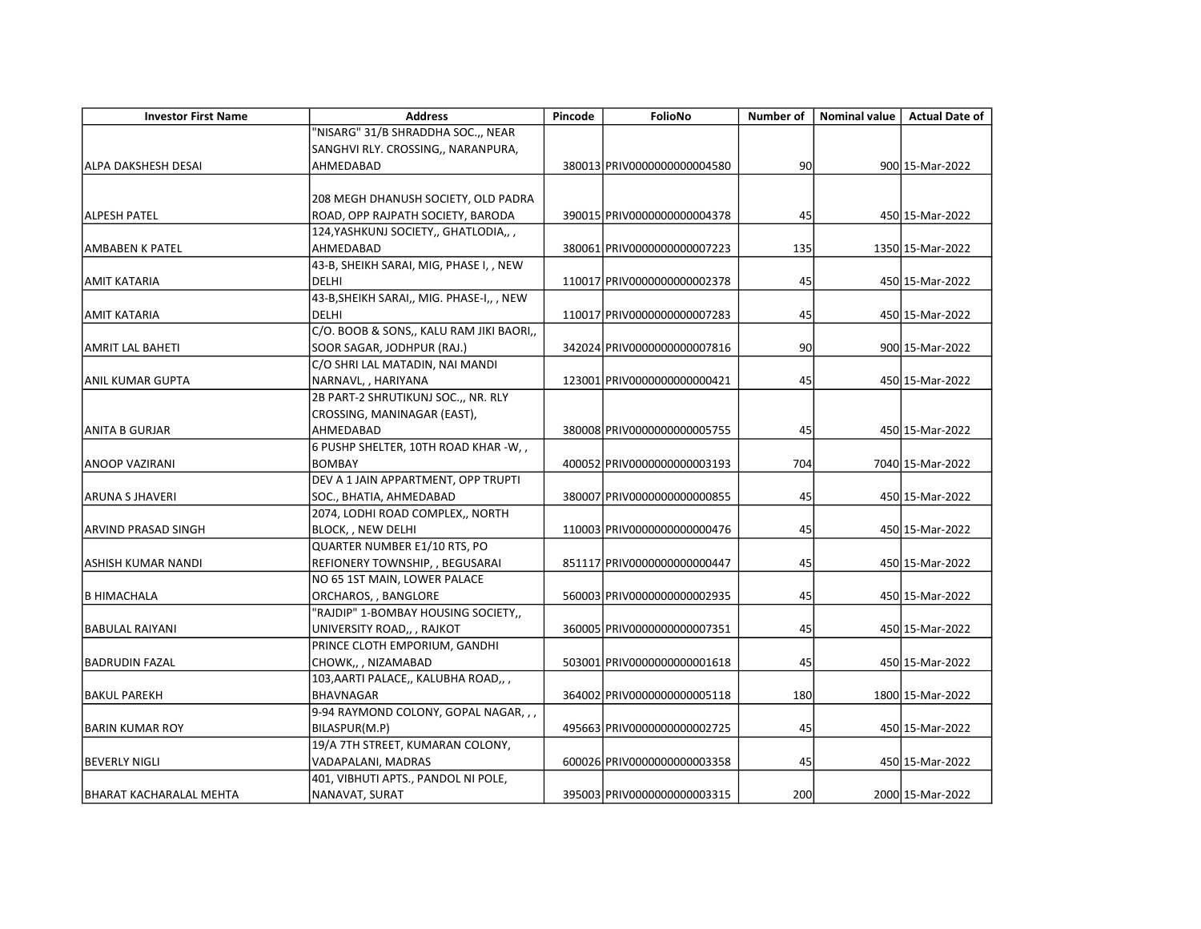| <b>Investor First Name</b> | <b>Address</b>                            | Pincode | FolioNo                      | Number of | <b>Nominal value</b> | <b>Actual Date of</b> |
|----------------------------|-------------------------------------------|---------|------------------------------|-----------|----------------------|-----------------------|
|                            | "NISARG" 31/B SHRADDHA SOC.,, NEAR        |         |                              |           |                      |                       |
|                            | SANGHVI RLY. CROSSING,, NARANPURA,        |         |                              |           |                      |                       |
| <b>ALPA DAKSHESH DESAI</b> | AHMEDABAD                                 |         | 380013 PRIV0000000000004580  | 90        |                      | 900 15-Mar-2022       |
|                            |                                           |         |                              |           |                      |                       |
|                            | 208 MEGH DHANUSH SOCIETY, OLD PADRA       |         |                              |           |                      |                       |
| <b>ALPESH PATEL</b>        | ROAD, OPP RAJPATH SOCIETY, BARODA         |         | 390015 PRIV0000000000004378  | 45        |                      | 450 15-Mar-2022       |
|                            | 124, YASHKUNJ SOCIETY,, GHATLODIA,,,      |         |                              |           |                      |                       |
| AMBABEN K PATEL            | AHMEDABAD                                 |         | 380061 PRIV0000000000007223  | 135       |                      | 1350 15-Mar-2022      |
|                            | 43-B, SHEIKH SARAI, MIG, PHASE I, , NEW   |         |                              |           |                      |                       |
| <b>AMIT KATARIA</b>        | DELHI                                     |         | 110017 PRIV0000000000002378  | 45        |                      | 450 15-Mar-2022       |
|                            | 43-B, SHEIKH SARAI,, MIG. PHASE-I,, , NEW |         |                              |           |                      |                       |
| <b>AMIT KATARIA</b>        | <b>DELHI</b>                              |         | 110017 PRIV0000000000007283  | 45        |                      | 450 15-Mar-2022       |
|                            | C/O. BOOB & SONS,, KALU RAM JIKI BAORI,,  |         |                              |           |                      |                       |
| AMRIT LAL BAHETI           | SOOR SAGAR, JODHPUR (RAJ.)                |         | 342024 PRIV00000000000007816 | 90        |                      | 900 15-Mar-2022       |
|                            | C/O SHRI LAL MATADIN, NAI MANDI           |         |                              |           |                      |                       |
| <b>ANIL KUMAR GUPTA</b>    | NARNAVL, , HARIYANA                       |         | 123001 PRIV00000000000000421 | 45        |                      | 450 15-Mar-2022       |
|                            | 2B PART-2 SHRUTIKUNJ SOC.,, NR. RLY       |         |                              |           |                      |                       |
|                            | CROSSING, MANINAGAR (EAST),               |         |                              |           |                      |                       |
| IANITA B GURJAR            | AHMEDABAD                                 |         | 380008 PRIV0000000000005755  | 45        |                      | 450 15-Mar-2022       |
|                            | 6 PUSHP SHELTER, 10TH ROAD KHAR -W, ,     |         |                              |           |                      |                       |
| <b>ANOOP VAZIRANI</b>      | <b>BOMBAY</b>                             |         | 400052 PRIV0000000000003193  | 704       |                      | 7040 15-Mar-2022      |
|                            | DEV A 1 JAIN APPARTMENT, OPP TRUPTI       |         |                              |           |                      |                       |
| <b>ARUNA S JHAVERI</b>     | SOC., BHATIA, AHMEDABAD                   |         | 380007 PRIV00000000000000855 | 45        |                      | 450 15-Mar-2022       |
|                            | 2074, LODHI ROAD COMPLEX,, NORTH          |         |                              |           |                      |                       |
| ARVIND PRASAD SINGH        | BLOCK, , NEW DELHI                        |         | 110003 PRIV00000000000000476 | 45        |                      | 450 15-Mar-2022       |
|                            | QUARTER NUMBER E1/10 RTS, PO              |         |                              |           |                      |                       |
| ASHISH KUMAR NANDI         | REFIONERY TOWNSHIP, , BEGUSARAI           |         | 851117 PRIV0000000000000447  | 45        |                      | 450 15-Mar-2022       |
|                            | NO 65 1ST MAIN, LOWER PALACE              |         |                              |           |                      |                       |
| <b>B HIMACHALA</b>         | ORCHAROS, , BANGLORE                      |         | 560003 PRIV0000000000002935  | 45        |                      | 450 15-Mar-2022       |
|                            | "RAJDIP" 1-BOMBAY HOUSING SOCIETY,,       |         |                              |           |                      |                       |
| <b>BABULAL RAIYANI</b>     | UNIVERSITY ROAD,, , RAJKOT                |         | 360005 PRIV0000000000007351  | 45        |                      | 450 15-Mar-2022       |
|                            | PRINCE CLOTH EMPORIUM, GANDHI             |         |                              |           |                      |                       |
| <b>BADRUDIN FAZAL</b>      | CHOWK,, , NIZAMABAD                       |         | 503001 PRIV00000000000001618 | 45        |                      | 450 15-Mar-2022       |
|                            | 103, AARTI PALACE,, KALUBHA ROAD,,,       |         |                              |           |                      |                       |
| BAKUL PAREKH               | <b>BHAVNAGAR</b>                          |         | 364002 PRIV0000000000005118  | 180       |                      | 1800 15-Mar-2022      |
|                            | 9-94 RAYMOND COLONY, GOPAL NAGAR, , ,     |         |                              |           |                      |                       |
| <b>BARIN KUMAR ROY</b>     | BILASPUR(M.P)                             |         | 495663 PRIV0000000000002725  | 45        |                      | 450 15-Mar-2022       |
|                            | 19/A 7TH STREET, KUMARAN COLONY,          |         |                              |           |                      |                       |
| <b>BEVERLY NIGLI</b>       | VADAPALANI, MADRAS                        |         | 600026 PRIV0000000000003358  | 45        |                      | 450 15-Mar-2022       |
|                            | 401, VIBHUTI APTS., PANDOL NI POLE,       |         |                              |           |                      |                       |
| IBHARAT KACHARALAL MEHTA   | NANAVAT, SURAT                            |         | 395003 PRIV0000000000003315  | 200       |                      | 2000 15-Mar-2022      |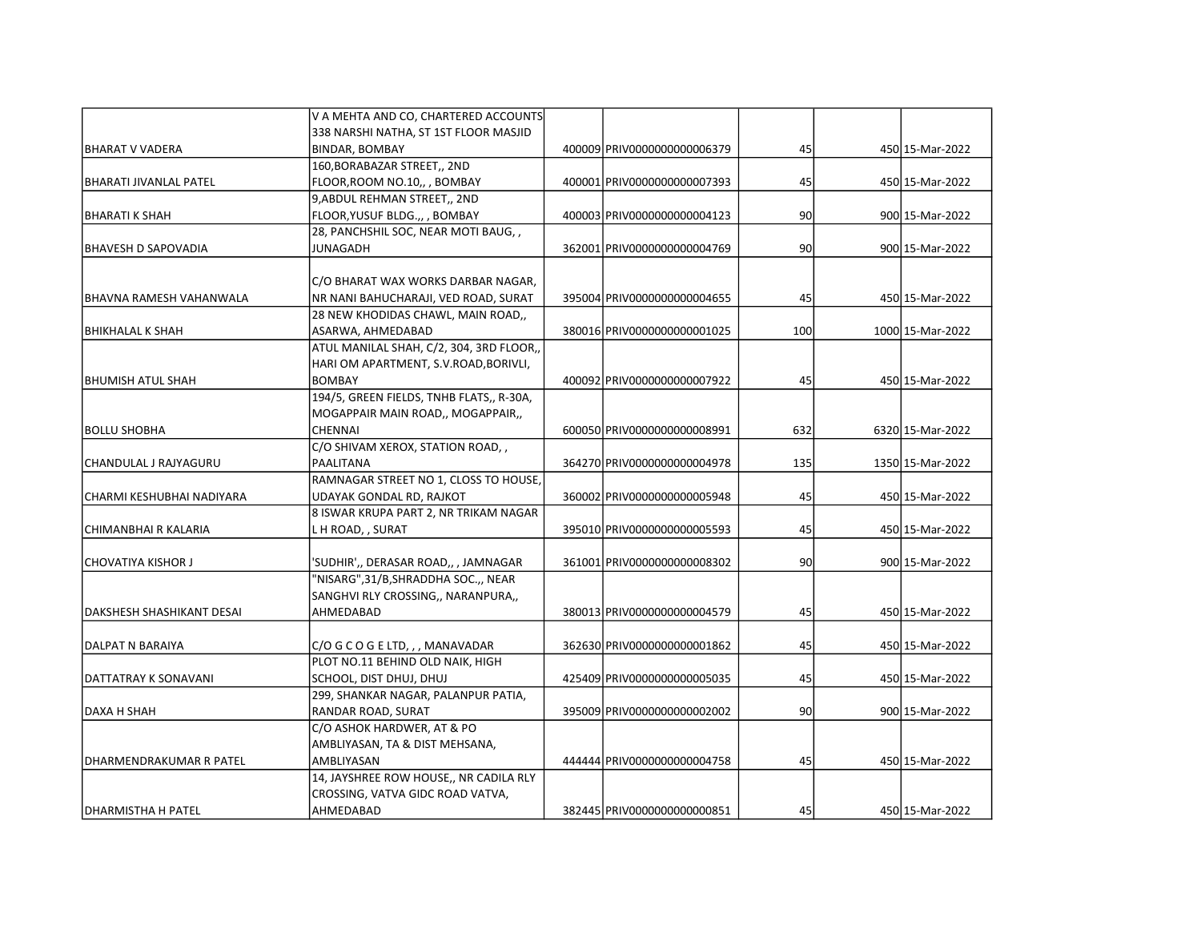|                             | V A MEHTA AND CO, CHARTERED ACCOUNTS     |                              |     |                  |
|-----------------------------|------------------------------------------|------------------------------|-----|------------------|
|                             | 338 NARSHI NATHA, ST 1ST FLOOR MASJID    |                              |     |                  |
| BHARAT V VADERA             | <b>BINDAR, BOMBAY</b>                    | 400009 PRIV0000000000006379  | 45  | 450 15-Mar-2022  |
|                             | 160, BORABAZAR STREET,, 2ND              |                              |     |                  |
| BHARATI JIVANLAL PATEL      | FLOOR, ROOM NO.10,, , BOMBAY             | 400001 PRIV00000000000007393 | 45  | 450 15-Mar-2022  |
|                             | 9, ABDUL REHMAN STREET,, 2ND             |                              |     |                  |
| BHARATI K SHAH              | FLOOR, YUSUF BLDG.,, , BOMBAY            | 4000031PRIV00000000000004123 | 90  | 900 15-Mar-2022  |
|                             | 28, PANCHSHIL SOC, NEAR MOTI BAUG,,      |                              |     |                  |
| <b>IBHAVESH D SAPOVADIA</b> | <b>JUNAGADH</b>                          | 362001 PRIV00000000000004769 | 90  | 900 15-Mar-2022  |
|                             |                                          |                              |     |                  |
|                             | C/O BHARAT WAX WORKS DARBAR NAGAR,       |                              |     |                  |
| BHAVNA RAMESH VAHANWALA     | NR NANI BAHUCHARAJI, VED ROAD, SURAT     | 395004 PRIV0000000000004655  | 45  | 450 15-Mar-2022  |
|                             | 28 NEW KHODIDAS CHAWL, MAIN ROAD,,       |                              |     |                  |
| BHIKHALAL K SHAH            | ASARWA, AHMEDABAD                        | 380016 PRIV00000000000001025 | 100 | 1000 15-Mar-2022 |
|                             | ATUL MANILAL SHAH, C/2, 304, 3RD FLOOR,, |                              |     |                  |
|                             | HARI OM APARTMENT, S.V.ROAD, BORIVLI,    |                              |     |                  |
| BHUMISH ATUL SHAH           | <b>BOMBAY</b>                            | 400092 PRIV0000000000007922  | 45  | 450 15-Mar-2022  |
|                             | 194/5, GREEN FIELDS, TNHB FLATS,, R-30A, |                              |     |                  |
|                             | MOGAPPAIR MAIN ROAD,, MOGAPPAIR,,        |                              |     |                  |
| BOLLU SHOBHA                | <b>CHENNAI</b>                           | 600050 PRIV00000000000008991 | 632 | 6320 15-Mar-2022 |
|                             | C/O SHIVAM XEROX, STATION ROAD,,         |                              |     |                  |
| CHANDULAL J RAJYAGURU       | <b>PAALITANA</b>                         | 364270 PRIV00000000000004978 | 135 | 1350 15-Mar-2022 |
|                             | RAMNAGAR STREET NO 1, CLOSS TO HOUSE,    |                              |     |                  |
| lCHARMI KESHUBHAI NADIYARA  | UDAYAK GONDAL RD, RAJKOT                 | 360002 PRIV00000000000005948 | 45  | 450 15-Mar-2022  |
|                             | 8 ISWAR KRUPA PART 2, NR TRIKAM NAGAR    |                              |     |                  |
| CHIMANBHAI R KALARIA        | L H ROAD, , SURAT                        | 395010 PRIV0000000000005593  | 45  | 450 15-Mar-2022  |
|                             |                                          |                              | 90  |                  |
| CHOVATIYA KISHOR J          | 'SUDHIR',, DERASAR ROAD,, , JAMNAGAR     | 361001 PRIV0000000000008302  |     | 900 15-Mar-2022  |
|                             | "NISARG", 31/B, SHRADDHA SOC.,, NEAR     |                              |     |                  |
|                             | SANGHVI RLY CROSSING,, NARANPURA,,       |                              |     |                  |
| DAKSHESH SHASHIKANT DESAI   | AHMEDABAD                                | 380013 PRIV00000000000004579 | 45  | 450 15-Mar-2022  |
| DALPAT N BARAIYA            | C/O G C O G E LTD, , , MANAVADAR         | 362630 PRIV0000000000001862  | 45  | 450 15-Mar-2022  |
|                             | PLOT NO.11 BEHIND OLD NAIK, HIGH         |                              |     |                  |
| DATTATRAY K SONAVANI        | SCHOOL, DIST DHUJ, DHUJ                  | 425409 PRIV00000000000005035 | 45  | 450 15-Mar-2022  |
|                             | 299, SHANKAR NAGAR, PALANPUR PATIA,      |                              |     |                  |
| IDAXA H SHAH                | RANDAR ROAD, SURAT                       | 395009 PRIV0000000000002002  | 90  | 900 15-Mar-2022  |
|                             | C/O ASHOK HARDWER, AT & PO               |                              |     |                  |
|                             | AMBLIYASAN, TA & DIST MEHSANA,           |                              |     |                  |
| DHARMENDRAKUMAR R PATEL     | AMBLIYASAN                               | 444444 PRIV0000000000004758  | 45  | 450 15-Mar-2022  |
|                             | 14, JAYSHREE ROW HOUSE,, NR CADILA RLY   |                              |     |                  |
|                             | CROSSING, VATVA GIDC ROAD VATVA,         |                              |     |                  |
| DHARMISTHA H PATEL          | AHMEDABAD                                | 382445 PRIV0000000000000851  | 45  | 450 15-Mar-2022  |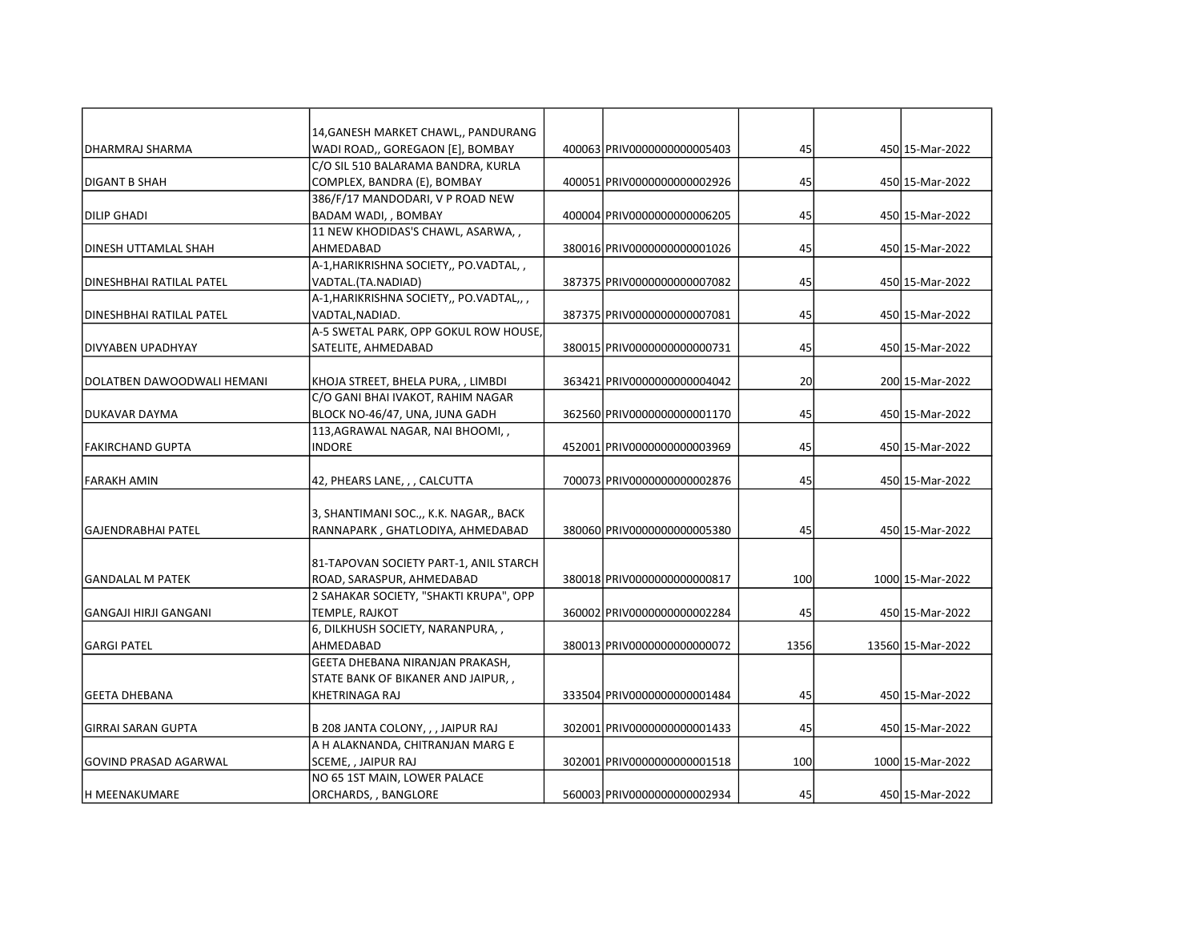|                            | 14, GANESH MARKET CHAWL,, PANDURANG     |                              |      |                   |
|----------------------------|-----------------------------------------|------------------------------|------|-------------------|
| IDHARMRAJ SHARMA           | WADI ROAD,, GOREGAON [E], BOMBAY        | 400063 PRIV0000000000005403  | 45   | 450 15-Mar-2022   |
|                            | C/O SIL 510 BALARAMA BANDRA, KURLA      |                              |      |                   |
| DIGANT B SHAH              | COMPLEX, BANDRA (E), BOMBAY             | 400051 PRIV0000000000002926  | 45   | 450 15-Mar-2022   |
|                            | 386/F/17 MANDODARI, V P ROAD NEW        |                              |      |                   |
| DILIP GHADI                | BADAM WADI, , BOMBAY                    | 400004 PRIV0000000000006205  | 45   | 450 15-Mar-2022   |
|                            | 11 NEW KHODIDAS'S CHAWL, ASARWA, ,      |                              |      |                   |
| DINESH UTTAMLAL SHAH       | AHMEDABAD                               | 380016 PRIV00000000000001026 | 45   | 450 15-Mar-2022   |
|                            | A-1, HARIKRISHNA SOCIETY,, PO.VADTAL,,  |                              |      |                   |
| IDINESHBHAI RATILAL PATEL  | VADTAL.(TA.NADIAD)                      | 387375 PRIV0000000000007082  | 45   | 450 15-Mar-2022   |
|                            | A-1, HARIKRISHNA SOCIETY,, PO.VADTAL,,, |                              |      |                   |
| DINESHBHAI RATILAL PATEL   | VADTAL, NADIAD.                         | 387375 PRIV0000000000007081  | 45   | 450 15-Mar-2022   |
|                            | A-5 SWETAL PARK, OPP GOKUL ROW HOUSE,   |                              |      |                   |
| DIVYABEN UPADHYAY          | SATELITE, AHMEDABAD                     | 380015 PRIV00000000000000731 | 45   | 450 15-Mar-2022   |
|                            |                                         |                              |      |                   |
| DOLATBEN DAWOODWALI HEMANI | KHOJA STREET, BHELA PURA, , LIMBDI      | 363421 PRIV00000000000004042 | 20   | 200 15-Mar-2022   |
|                            | C/O GANI BHAI IVAKOT, RAHIM NAGAR       |                              |      |                   |
| DUKAVAR DAYMA              | BLOCK NO-46/47, UNA, JUNA GADH          | 362560 PRIV00000000000001170 | 45   | 450 15-Mar-2022   |
|                            | 113, AGRAWAL NAGAR, NAI BHOOMI, ,       |                              |      |                   |
| lFAKIRCHAND GUPTA          | <b>INDORE</b>                           | 452001 PRIV0000000000003969  | 45   | 450 15-Mar-2022   |
|                            |                                         |                              |      |                   |
| FARAKH AMIN                | 42, PHEARS LANE, , , CALCUTTA           | 700073 PRIV0000000000002876  | 45   | 450 15-Mar-2022   |
|                            |                                         |                              |      |                   |
|                            | 3, SHANTIMANI SOC.,, K.K. NAGAR,, BACK  |                              |      |                   |
| lGAJENDRABHAI PATEL        | RANNAPARK, GHATLODIYA, AHMEDABAD        | 380060 PRIV0000000000005380  | 45   | 450 15-Mar-2022   |
|                            | 81-TAPOVAN SOCIETY PART-1, ANIL STARCH  |                              |      |                   |
| lGANDALAL M PATEK          | ROAD, SARASPUR, AHMEDABAD               | 380018 PRIV00000000000000817 | 100  | 1000 15-Mar-2022  |
|                            | 2 SAHAKAR SOCIETY, "SHAKTI KRUPA", OPP  |                              |      |                   |
| GANGAJI HIRJI GANGANI      | TEMPLE, RAJKOT                          | 360002 PRIV00000000000002284 | 45   | 450 15-Mar-2022   |
|                            | 6, DILKHUSH SOCIETY, NARANPURA,,        |                              |      |                   |
| <b>GARGI PATEL</b>         | AHMEDABAD                               | 380013 PRIV0000000000000072  | 1356 | 13560 15-Mar-2022 |
|                            | GEETA DHEBANA NIRANJAN PRAKASH,         |                              |      |                   |
|                            | STATE BANK OF BIKANER AND JAIPUR,,      |                              |      |                   |
| GEETA DHEBANA              | <b>KHETRINAGA RAJ</b>                   | 333504 PRIV0000000000001484  | 45   | 450 15-Mar-2022   |
|                            |                                         |                              |      |                   |
| GIRRAI SARAN GUPTA         | B 208 JANTA COLONY, , , JAIPUR RAJ      | 302001 PRIV00000000000001433 | 45   | 450 15-Mar-2022   |
|                            | A H ALAKNANDA, CHITRANJAN MARG E        |                              |      |                   |
| GOVIND PRASAD AGARWAL      | SCEME, , JAIPUR RAJ                     | 302001 PRIV00000000000001518 | 100  | 1000 15-Mar-2022  |
|                            | NO 65 1ST MAIN, LOWER PALACE            |                              |      |                   |
| lh MEENAKUMARE             | ORCHARDS, , BANGLORE                    | 560003 PRIV0000000000002934  | 45   | 450 15-Mar-2022   |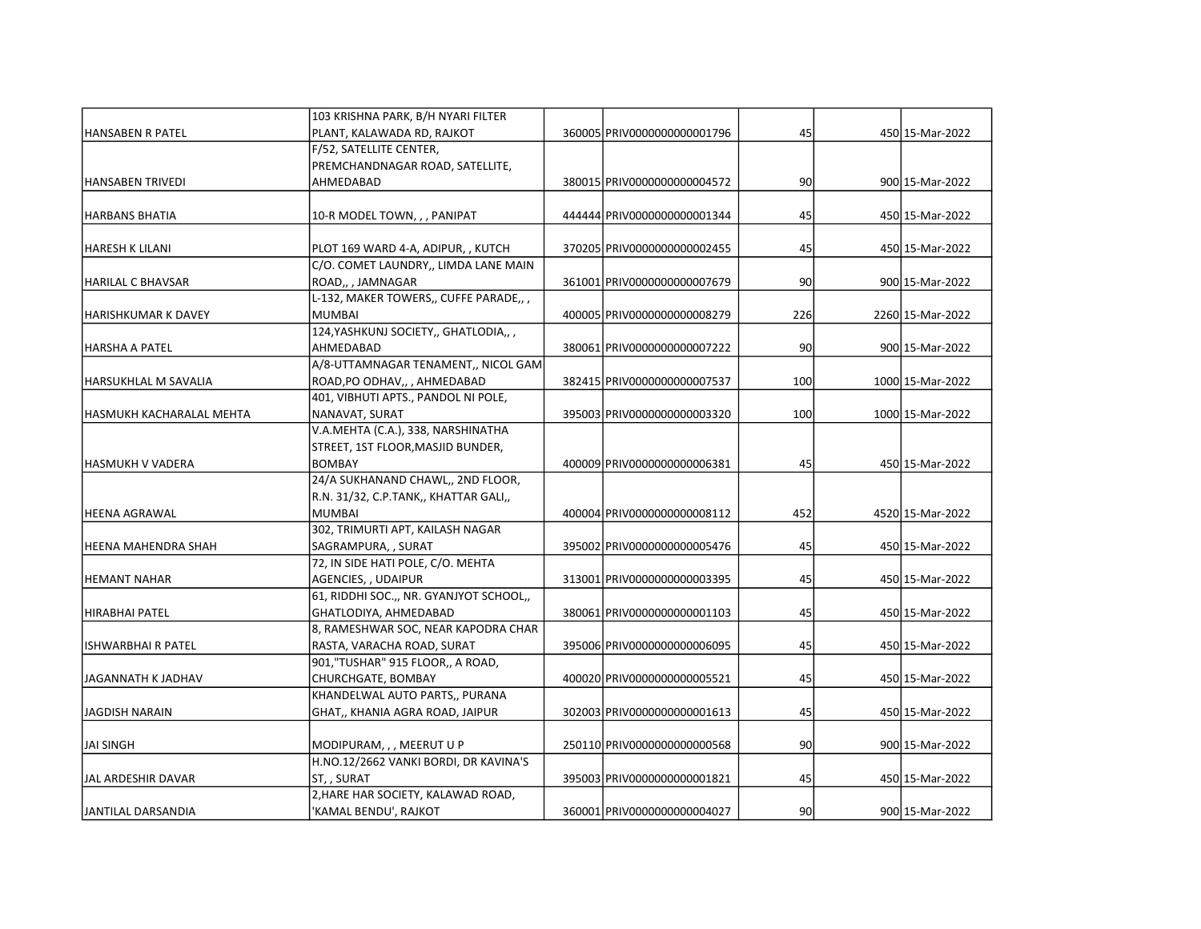|                            | 103 KRISHNA PARK, B/H NYARI FILTER      |                              |     |                  |
|----------------------------|-----------------------------------------|------------------------------|-----|------------------|
| <b>HANSABEN R PATEL</b>    | PLANT, KALAWADA RD, RAJKOT              | 360005 PRIV00000000000001796 | 45  | 450 15-Mar-2022  |
|                            | F/52, SATELLITE CENTER,                 |                              |     |                  |
|                            | PREMCHANDNAGAR ROAD, SATELLITE,         |                              |     |                  |
| <b>HANSABEN TRIVEDI</b>    | AHMEDABAD                               | 380015 PRIV00000000000004572 | 90  | 900 15-Mar-2022  |
|                            |                                         |                              |     |                  |
| <b>HARBANS BHATIA</b>      | 10-R MODEL TOWN, , , PANIPAT            | 444444 PRIV0000000000001344  | 45  | 450 15-Mar-2022  |
|                            |                                         |                              |     |                  |
| <b>HARESH K LILANI</b>     | PLOT 169 WARD 4-A, ADIPUR, , KUTCH      | 370205 PRIV0000000000002455  | 45  | 450 15-Mar-2022  |
|                            | C/O. COMET LAUNDRY,, LIMDA LANE MAIN    |                              |     |                  |
| <b>HARILAL C BHAVSAR</b>   | ROAD,, JAMNAGAR                         | 361001 PRIV0000000000007679  | 90  | 900 15-Mar-2022  |
|                            | L-132, MAKER TOWERS,, CUFFE PARADE,,,   |                              |     |                  |
| <b>HARISHKUMAR K DAVEY</b> | <b>MUMBAI</b>                           | 400005 PRIV0000000000008279  | 226 | 2260 15-Mar-2022 |
|                            | 124, YASHKUNJ SOCIETY,, GHATLODIA,,     |                              |     |                  |
| <b>HARSHA A PATEL</b>      | AHMEDABAD                               | 380061 PRIV00000000000007222 | 90  | 900 15-Mar-2022  |
|                            | A/8-UTTAMNAGAR TENAMENT,, NICOL GAM     |                              |     |                  |
| HARSUKHLAL M SAVALIA       | ROAD, PO ODHAV,, , AHMEDABAD            | 382415 PRIV0000000000007537  | 100 | 1000 15-Mar-2022 |
|                            | 401, VIBHUTI APTS., PANDOL NI POLE,     |                              |     |                  |
| HASMUKH KACHARALAL MEHTA   | NANAVAT, SURAT                          | 395003 PRIV0000000000003320  | 100 | 1000 15-Mar-2022 |
|                            | V.A.MEHTA (C.A.), 338, NARSHINATHA      |                              |     |                  |
|                            | STREET, 1ST FLOOR, MASJID BUNDER,       |                              |     |                  |
| HASMUKH V VADERA           | <b>BOMBAY</b>                           | 400009 PRIV00000000000006381 | 45  | 450 15-Mar-2022  |
|                            | 24/A SUKHANAND CHAWL,, 2ND FLOOR,       |                              |     |                  |
|                            | R.N. 31/32, C.P.TANK,, KHATTAR GALI,,   |                              |     |                  |
| <b>HEENA AGRAWAL</b>       | <b>MUMBAI</b>                           | 400004 PRIV00000000000008112 | 452 | 4520 15-Mar-2022 |
|                            | 302, TRIMURTI APT, KAILASH NAGAR        |                              |     |                  |
| HEENA MAHENDRA SHAH        | SAGRAMPURA, , SURAT                     | 395002 PRIV0000000000005476  | 45  | 450 15-Mar-2022  |
|                            | 72, IN SIDE HATI POLE, C/O. MEHTA       |                              |     |                  |
| <b>HEMANT NAHAR</b>        | AGENCIES, , UDAIPUR                     | 313001lPRIV00000000000003395 | 45  | 450 15-Mar-2022  |
|                            | 61, RIDDHI SOC.,, NR. GYANJYOT SCHOOL,, |                              |     |                  |
| <b>HIRABHAI PATEL</b>      | GHATLODIYA, AHMEDABAD                   | 380061 PRIV00000000000001103 | 45  | 450 15-Mar-2022  |
|                            | 8, RAMESHWAR SOC, NEAR KAPODRA CHAR     |                              |     |                  |
| <b>ISHWARBHAIR PATEL</b>   | RASTA, VARACHA ROAD, SURAT              | 395006 PRIV0000000000006095  | 45  | 450 15-Mar-2022  |
|                            | 901,"TUSHAR" 915 FLOOR,, A ROAD,        |                              |     |                  |
| JAGANNATH K JADHAV         | CHURCHGATE, BOMBAY                      | 400020 PRIV0000000000005521  | 45  | 450 15-Mar-2022  |
|                            | KHANDELWAL AUTO PARTS,, PURANA          |                              |     |                  |
| <b>JAGDISH NARAIN</b>      | GHAT,, KHANIA AGRA ROAD, JAIPUR         | 302003 PRIV00000000000001613 | 45  | 450 15-Mar-2022  |
|                            |                                         |                              |     |                  |
| <b>JAI SINGH</b>           | MODIPURAM, , , MEERUT U P               | 250110 PRIV0000000000000568  | 90  | 900 15-Mar-2022  |
|                            | H.NO.12/2662 VANKI BORDI, DR KAVINA'S   |                              |     |                  |
| JAL ARDESHIR DAVAR         | ST., SURAT                              | 395003 PRIV00000000000001821 | 45  | 450 15-Mar-2022  |
|                            | 2, HARE HAR SOCIETY, KALAWAD ROAD,      |                              |     |                  |
| JANTILAL DARSANDIA         | 'KAMAL BENDU', RAJKOT                   | 360001 PRIV00000000000004027 | 90  | 900 15-Mar-2022  |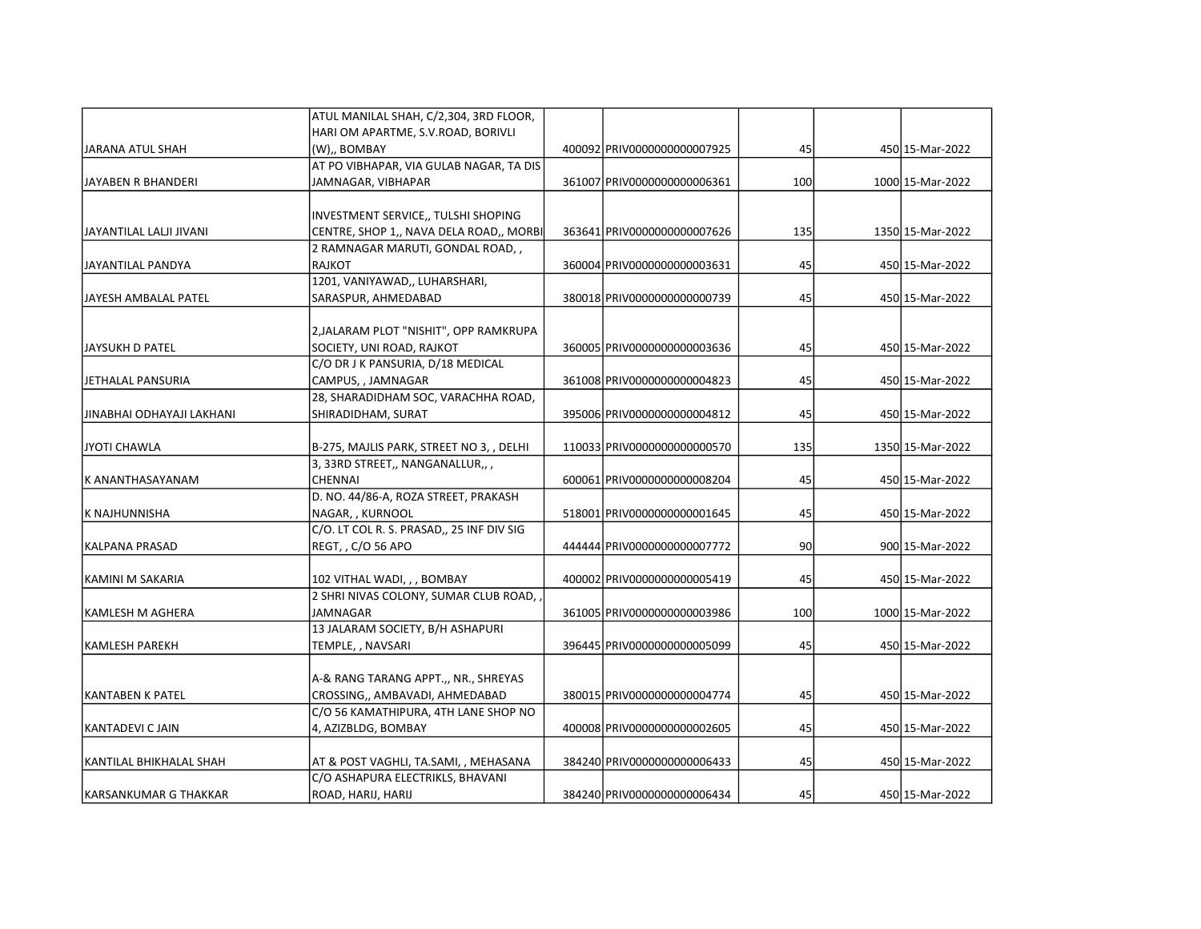|                           | ATUL MANILAL SHAH, C/2,304, 3RD FLOOR,    |                              |     |                  |
|---------------------------|-------------------------------------------|------------------------------|-----|------------------|
|                           | HARI OM APARTME, S.V.ROAD, BORIVLI        |                              |     |                  |
| JARANA ATUL SHAH          | (W),, BOMBAY                              | 400092 PRIV0000000000007925  | 45  | 450 15-Mar-2022  |
|                           | AT PO VIBHAPAR, VIA GULAB NAGAR, TA DIS   |                              |     |                  |
| JAYABEN R BHANDERI        | JAMNAGAR, VIBHAPAR                        | 361007 PRIV00000000000006361 | 100 | 1000 15-Mar-2022 |
|                           | INVESTMENT SERVICE,, TULSHI SHOPING       |                              |     |                  |
| JAYANTILAL LALJI JIVANI   | CENTRE, SHOP 1,, NAVA DELA ROAD,, MORBI   | 363641 PRIV00000000000007626 | 135 | 1350 15-Mar-2022 |
|                           | 2 RAMNAGAR MARUTI, GONDAL ROAD, ,         |                              |     |                  |
| JAYANTILAL PANDYA         | <b>RAJKOT</b>                             | 360004 PRIV00000000000003631 | 45  | 450 15-Mar-2022  |
|                           | 1201, VANIYAWAD,, LUHARSHARI,             |                              |     |                  |
| JAYESH AMBALAL PATEL      | SARASPUR, AHMEDABAD                       | 380018 PRIV0000000000000739  | 45  | 450 15-Mar-2022  |
|                           | 2, JALARAM PLOT "NISHIT", OPP RAMKRUPA    |                              |     |                  |
| JAYSUKH D PATEL           | SOCIETY, UNI ROAD, RAJKOT                 | 360005 PRIV00000000000003636 | 45  | 450 15-Mar-2022  |
|                           | C/O DR J K PANSURIA, D/18 MEDICAL         |                              |     |                  |
| JETHALAL PANSURIA         | CAMPUS, , JAMNAGAR                        | 361008 PRIV0000000000004823  | 45  | 450 15-Mar-2022  |
|                           | 28, SHARADIDHAM SOC, VARACHHA ROAD,       |                              |     |                  |
| JINABHAI ODHAYAJI LAKHANI | SHIRADIDHAM, SURAT                        | 395006 PRIV0000000000004812  | 45  | 450 15-Mar-2022  |
| ljyoti Chawla             | B-275, MAJLIS PARK, STREET NO 3, , DELHI  | 110033 PRIV0000000000000570  | 135 | 1350 15-Mar-2022 |
|                           | 3, 33RD STREET,, NANGANALLUR,,,           |                              |     |                  |
| K ANANTHASAYANAM          | CHENNAI                                   | 600061 PRIV00000000000008204 | 45  | 450 15-Mar-2022  |
|                           | D. NO. 44/86-A, ROZA STREET, PRAKASH      |                              |     |                  |
| K NAJHUNNISHA             | NAGAR, , KURNOOL                          | 518001 PRIV0000000000001645  | 45  | 450 15-Mar-2022  |
|                           | C/O. LT COL R. S. PRASAD,, 25 INF DIV SIG |                              |     |                  |
| KALPANA PRASAD            | REGT, , C/O 56 APO                        | 444444 PRIV0000000000007772  | 90  | 900 15-Mar-2022  |
| KAMINI M SAKARIA          | 102 VITHAL WADI, , , BOMBAY               | 400002 PRIV0000000000005419  | 45  | 450 15-Mar-2022  |
|                           | 2 SHRI NIVAS COLONY, SUMAR CLUB ROAD,     |                              |     |                  |
| KAMLESH M AGHERA          | JAMNAGAR                                  | 361005 PRIV00000000000003986 | 100 | 1000 15-Mar-2022 |
|                           | 13 JALARAM SOCIETY, B/H ASHAPURI          |                              |     |                  |
| KAMLESH PAREKH            | TEMPLE, , NAVSARI                         | 396445 PRIV0000000000005099  | 45  | 450 15-Mar-2022  |
|                           | A-& RANG TARANG APPT.,, NR., SHREYAS      |                              |     |                  |
| KANTABEN K PATEL          | CROSSING,, AMBAVADI, AHMEDABAD            | 380015 PRIV00000000000004774 | 45  | 450 15-Mar-2022  |
|                           | C/O 56 KAMATHIPURA, 4TH LANE SHOP NO      |                              |     |                  |
| KANTADEVI C JAIN          | 4, AZIZBLDG, BOMBAY                       | 400008 PRIV0000000000002605  | 45  | 450 15-Mar-2022  |
| KANTILAL BHIKHALAL SHAH   | AT & POST VAGHLI, TA.SAMI, , MEHASANA     | 384240 PRIV0000000000006433  | 45  | 450 15-Mar-2022  |
|                           | C/O ASHAPURA ELECTRIKLS, BHAVANI          |                              |     |                  |
| IKARSANKUMAR G THAKKAR    | ROAD, HARIJ, HARIJ                        | 384240 PRIV0000000000006434  | 45  | 450 15-Mar-2022  |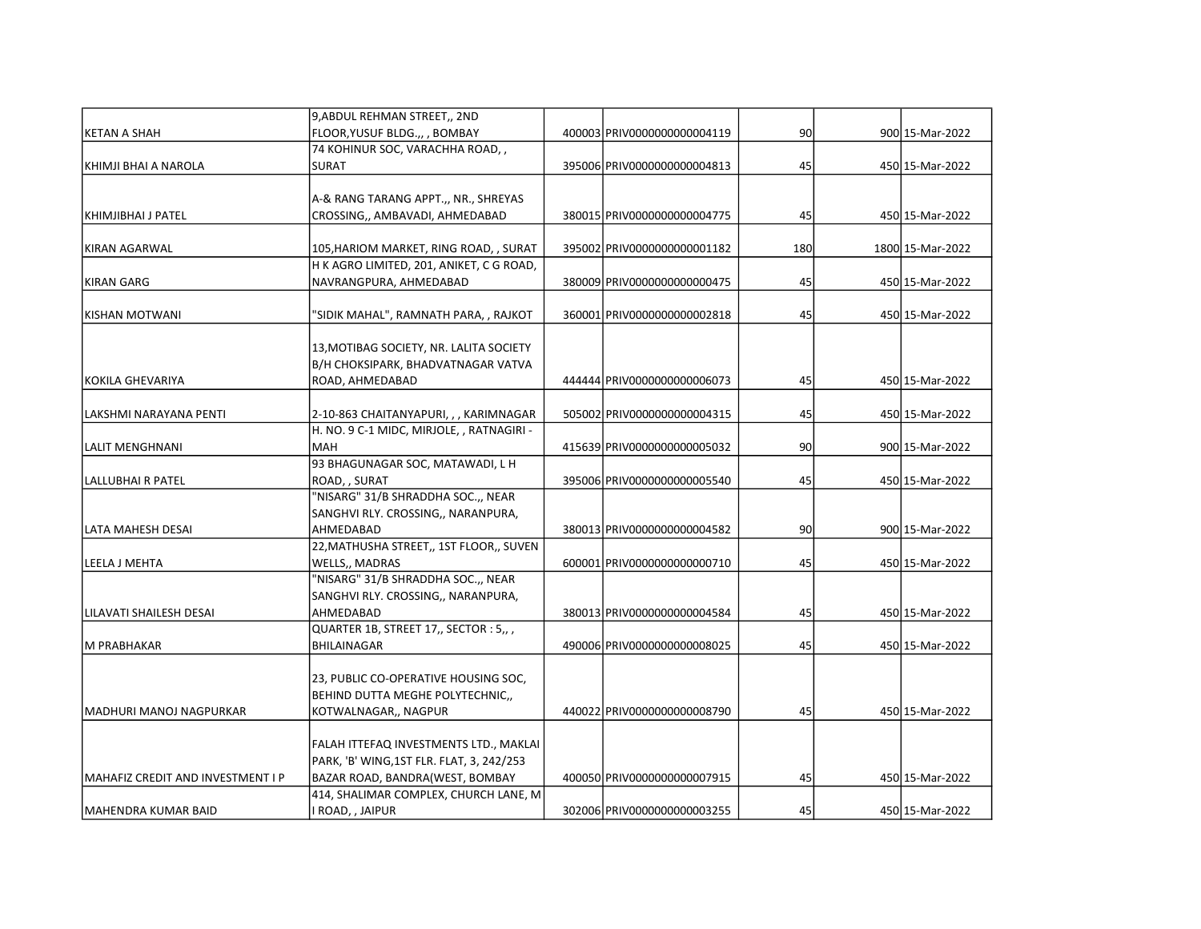|                                   | 9, ABDUL REHMAN STREET,, 2ND              |                              |     |                  |
|-----------------------------------|-------------------------------------------|------------------------------|-----|------------------|
| <b>KETAN A SHAH</b>               | FLOOR, YUSUF BLDG.,, , BOMBAY             | 400003 PRIV0000000000004119  | 90  | 900 15-Mar-2022  |
|                                   | 74 KOHINUR SOC, VARACHHA ROAD,,           |                              |     |                  |
| KHIMJI BHAI A NAROLA              | SURAT                                     | 395006 PRIV0000000000004813  | 45  | 450 15-Mar-2022  |
|                                   |                                           |                              |     |                  |
|                                   | A-& RANG TARANG APPT.,, NR., SHREYAS      |                              |     |                  |
| KHIMJIBHAI J PATEL                | CROSSING,, AMBAVADI, AHMEDABAD            | 380015 PRIV00000000000004775 | 45  | 450 15-Mar-2022  |
| KIRAN AGARWAL                     | 105, HARIOM MARKET, RING ROAD, , SURAT    | 395002 PRIV00000000000001182 | 180 | 1800 15-Mar-2022 |
|                                   | H K AGRO LIMITED, 201, ANIKET, C G ROAD,  |                              |     |                  |
| <b>KIRAN GARG</b>                 | NAVRANGPURA, AHMEDABAD                    | 380009 PRIV00000000000000475 | 45  | 450 15-Mar-2022  |
|                                   |                                           |                              |     |                  |
| <b>KISHAN MOTWANI</b>             | "SIDIK MAHAL", RAMNATH PARA, , RAJKOT     | 360001 PRIV0000000000002818  | 45  | 450 15-Mar-2022  |
|                                   |                                           |                              |     |                  |
|                                   | 13, MOTIBAG SOCIETY, NR. LALITA SOCIETY   |                              |     |                  |
|                                   | B/H CHOKSIPARK, BHADVATNAGAR VATVA        |                              |     |                  |
| <b>KOKILA GHEVARIYA</b>           | ROAD, AHMEDABAD                           | 444444 PRIV0000000000006073  | 45  | 450 15-Mar-2022  |
| LAKSHMI NARAYANA PENTI            | 2-10-863 CHAITANYAPURI, , , KARIMNAGAR    | 505002 PRIV00000000000004315 | 45  | 450 15-Mar-2022  |
|                                   | H. NO. 9 C-1 MIDC, MIRJOLE, , RATNAGIRI - |                              |     |                  |
| <b>LALIT MENGHNANI</b>            | <b>MAH</b>                                | 415639 PRIV0000000000005032  | 90  | 900 15-Mar-2022  |
|                                   | 93 BHAGUNAGAR SOC, MATAWADI, L H          |                              |     |                  |
| LALLUBHAI R PATEL                 | ROAD, , SURAT                             | 395006 PRIV00000000000005540 | 45  | 450 15-Mar-2022  |
|                                   | "NISARG" 31/B SHRADDHA SOC.,, NEAR        |                              |     |                  |
|                                   | SANGHVI RLY. CROSSING,, NARANPURA,        |                              |     |                  |
| LATA MAHESH DESAI                 | AHMEDABAD                                 | 380013 PRIV0000000000004582  | 90  | 900 15-Mar-2022  |
|                                   | 22, MATHUSHA STREET,, 1ST FLOOR,, SUVEN   |                              |     |                  |
| LEELA J MEHTA                     | <b>WELLS,, MADRAS</b>                     | 600001 PRIV0000000000000710  | 45  | 450 15-Mar-2022  |
|                                   | "NISARG" 31/B SHRADDHA SOC.,, NEAR        |                              |     |                  |
|                                   | SANGHVI RLY. CROSSING,, NARANPURA,        |                              |     |                  |
| LILAVATI SHAILESH DESAI           | AHMEDABAD                                 | 380013 PRIV00000000000004584 | 45  | 450 15-Mar-2022  |
|                                   | QUARTER 1B, STREET 17,, SECTOR : 5,, ,    |                              |     |                  |
| M PRABHAKAR                       | <b>BHILAINAGAR</b>                        | 490006 PRIV00000000000008025 | 45  | 450 15-Mar-2022  |
|                                   |                                           |                              |     |                  |
|                                   | 23, PUBLIC CO-OPERATIVE HOUSING SOC,      |                              |     |                  |
|                                   | BEHIND DUTTA MEGHE POLYTECHNIC,,          |                              |     |                  |
| İMADHURI MANOJ NAGPURKAR          | KOTWALNAGAR,, NAGPUR                      | 4400221PRIV00000000000008790 | 45  | 450 15-Mar-2022  |
|                                   | FALAH ITTEFAQ INVESTMENTS LTD., MAKLAI    |                              |     |                  |
|                                   | PARK, 'B' WING,1ST FLR. FLAT, 3, 242/253  |                              |     |                  |
| MAHAFIZ CREDIT AND INVESTMENT I P | BAZAR ROAD, BANDRA(WEST, BOMBAY           | 400050 PRIV0000000000007915  | 45  | 450 15-Mar-2022  |
|                                   | 414, SHALIMAR COMPLEX, CHURCH LANE, M     |                              |     |                  |
| MAHENDRA KUMAR BAID               | I ROAD, , JAIPUR                          | 302006 PRIV00000000000003255 | 45  | 450 15-Mar-2022  |
|                                   |                                           |                              |     |                  |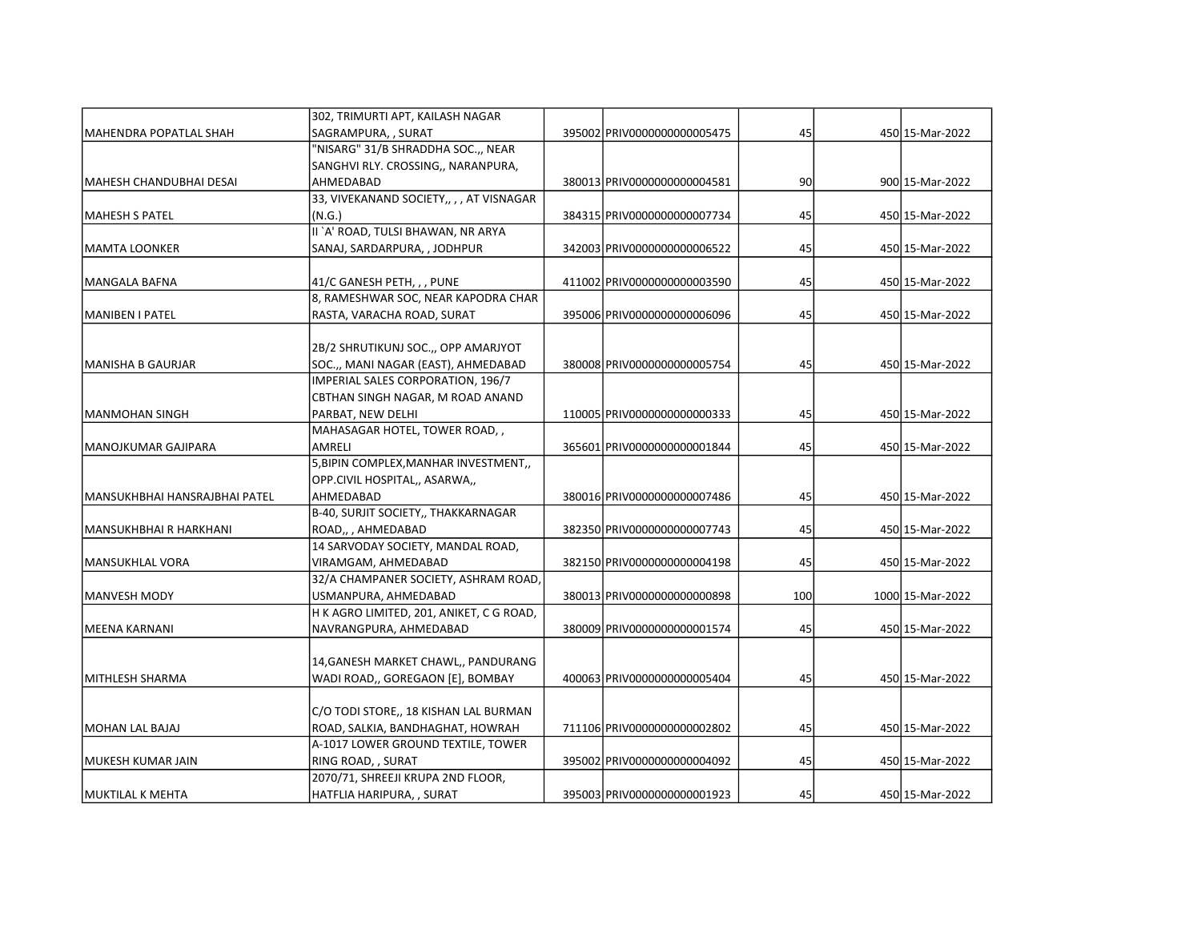|                               | 302, TRIMURTI APT, KAILASH NAGAR         |                              |     |                  |
|-------------------------------|------------------------------------------|------------------------------|-----|------------------|
| MAHENDRA POPATLAL SHAH        | SAGRAMPURA, , SURAT                      | 395002 PRIV0000000000005475  | 45  | 450 15-Mar-2022  |
|                               | "NISARG" 31/B SHRADDHA SOC.,, NEAR       |                              |     |                  |
|                               | SANGHVI RLY. CROSSING,, NARANPURA,       |                              |     |                  |
| İMAHESH CHANDUBHAI DESAI      | AHMEDABAD                                | 380013 PRIV00000000000004581 | 90  | 900 15-Mar-2022  |
|                               | 33, VIVEKANAND SOCIETY,,,, AT VISNAGAR   |                              |     |                  |
| MAHESH S PATEL                | (N.G.)                                   | 384315 PRIV0000000000007734  | 45  | 450 15-Mar-2022  |
|                               | II `A' ROAD, TULSI BHAWAN, NR ARYA       |                              |     |                  |
| MAMTA LOONKER                 | SANAJ, SARDARPURA, , JODHPUR             | 342003 PRIV0000000000006522  | 45  | 450 15-Mar-2022  |
| MANGALA BAFNA                 | 41/C GANESH PETH, , , PUNE               | 411002 PRIV00000000000003590 | 45  | 450 15-Mar-2022  |
|                               | 8, RAMESHWAR SOC, NEAR KAPODRA CHAR      |                              |     |                  |
| MANIBEN I PATEL               | RASTA, VARACHA ROAD, SURAT               | 395006 PRIV0000000000006096  | 45  | 450 15-Mar-2022  |
|                               |                                          |                              |     |                  |
|                               | 2B/2 SHRUTIKUNJ SOC., OPP AMARJYOT       |                              |     |                  |
| MANISHA B GAURJAR             | SOC.,, MANI NAGAR (EAST), AHMEDABAD      | 380008 PRIV0000000000005754  | 45  | 450 15-Mar-2022  |
|                               | IMPERIAL SALES CORPORATION, 196/7        |                              |     |                  |
|                               | CBTHAN SINGH NAGAR, M ROAD ANAND         |                              |     |                  |
| MANMOHAN SINGH                | PARBAT, NEW DELHI                        | 110005 PRIV0000000000000333  | 45  | 450 15-Mar-2022  |
|                               | MAHASAGAR HOTEL, TOWER ROAD, ,           |                              |     |                  |
| MANOJKUMAR GAJIPARA           | AMRELI                                   | 365601 PRIV00000000000001844 | 45  | 450 15-Mar-2022  |
|                               | 5, BIPIN COMPLEX, MANHAR INVESTMENT,     |                              |     |                  |
|                               | OPP.CIVIL HOSPITAL,, ASARWA,,            |                              |     |                  |
| MANSUKHBHAI HANSRAJBHAI PATEL | AHMEDABAD                                | 380016 PRIV0000000000007486  | 45  | 450 15-Mar-2022  |
|                               | B-40, SURJIT SOCIETY,, THAKKARNAGAR      |                              |     |                  |
| MANSUKHBHAI R HARKHANI        | ROAD,, AHMEDABAD                         | 382350 PRIV00000000000007743 | 45  | 450 15-Mar-2022  |
|                               | 14 SARVODAY SOCIETY, MANDAL ROAD,        |                              |     |                  |
| MANSUKHLAL VORA               | VIRAMGAM, AHMEDABAD                      | 382150 PRIV00000000000004198 | 45  | 450 15-Mar-2022  |
|                               | 32/A CHAMPANER SOCIETY, ASHRAM ROAD,     |                              |     |                  |
| MANVESH MODY                  | USMANPURA, AHMEDABAD                     | 380013 PRIV00000000000000898 | 100 | 1000 15-Mar-2022 |
|                               | H K AGRO LIMITED, 201, ANIKET, C G ROAD, |                              |     |                  |
| İMEENA KARNANI                | NAVRANGPURA, AHMEDABAD                   | 380009 PRIV00000000000001574 | 45  | 450 15-Mar-2022  |
|                               |                                          |                              |     |                  |
|                               | 14, GANESH MARKET CHAWL,, PANDURANG      |                              |     |                  |
| İMITHLESH SHARMA              | WADI ROAD,, GOREGAON [E], BOMBAY         | 4000631PRIV0000000000005404  | 45  | 450 15-Mar-2022  |
|                               | C/O TODI STORE,, 18 KISHAN LAL BURMAN    |                              |     |                  |
| MOHAN LAL BAJAJ               | ROAD, SALKIA, BANDHAGHAT, HOWRAH         | 711106 PRIV0000000000002802  | 45  | 450 15-Mar-2022  |
|                               | A-1017 LOWER GROUND TEXTILE, TOWER       |                              |     |                  |
| lmukesh kumar Jain            | RING ROAD, , SURAT                       | 395002 PRIV0000000000004092  | 45  | 450 15-Mar-2022  |
|                               | 2070/71, SHREEJI KRUPA 2ND FLOOR,        |                              |     |                  |
| MUKTILAL K MEHTA              | HATFLIA HARIPURA, , SURAT                | 395003 PRIV00000000000001923 | 45  | 450 15-Mar-2022  |
|                               |                                          |                              |     |                  |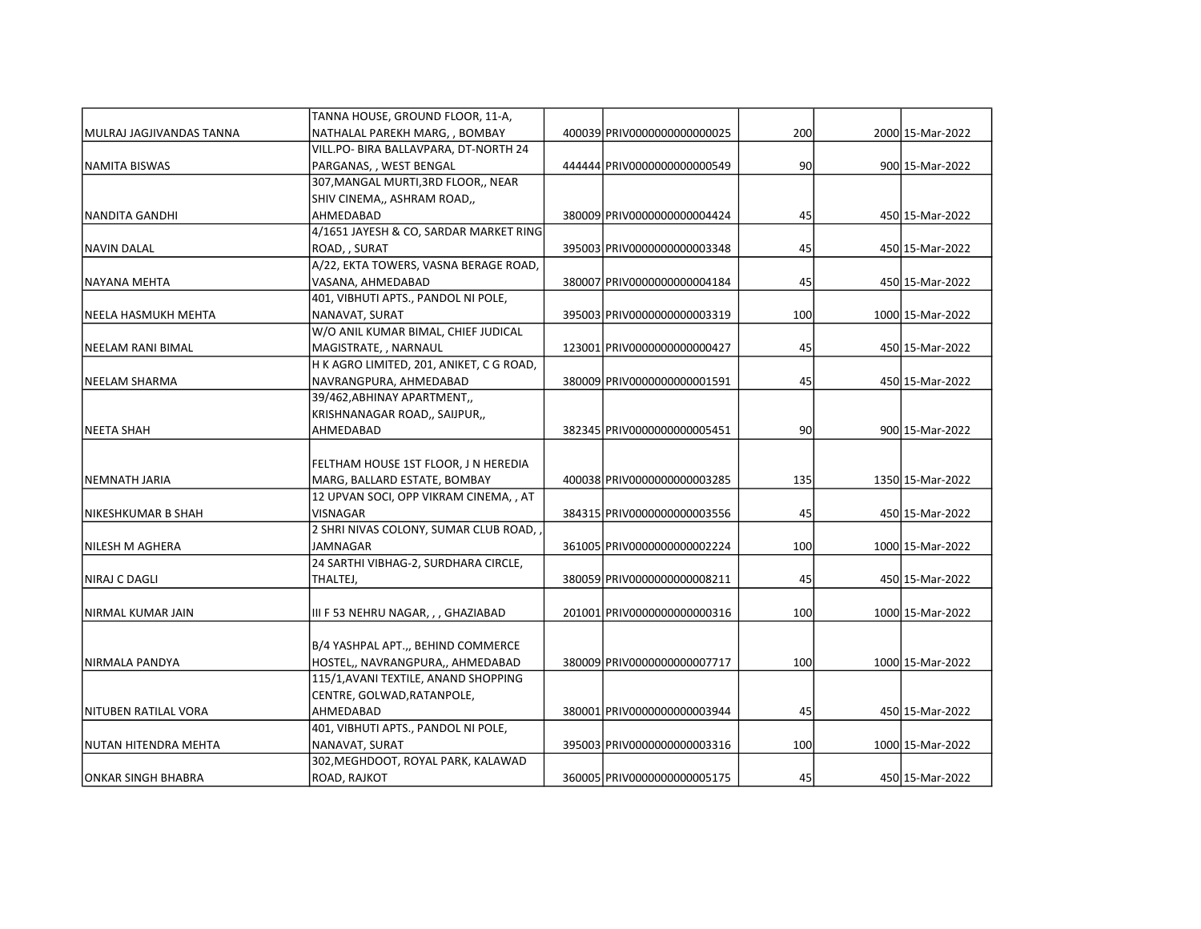|                           | TANNA HOUSE, GROUND FLOOR, 11-A,         |                              |     |                  |
|---------------------------|------------------------------------------|------------------------------|-----|------------------|
| lMULRAJ JAGJIVANDAS TANNA | NATHALAL PAREKH MARG, , BOMBAY           | 400039 PRIV0000000000000025  | 200 | 2000 15-Mar-2022 |
|                           | VILL.PO- BIRA BALLAVPARA, DT-NORTH 24    |                              |     |                  |
| INAMITA BISWAS            | PARGANAS, , WEST BENGAL                  | 444444 PRIV0000000000000549  | 90  | 900 15-Mar-2022  |
|                           | 307, MANGAL MURTI, 3RD FLOOR,, NEAR      |                              |     |                  |
|                           | SHIV CINEMA,, ASHRAM ROAD,,              |                              |     |                  |
| NANDITA GANDHI            | AHMEDABAD                                | 380009 PRIV00000000000004424 | 45  | 450 15-Mar-2022  |
|                           | 4/1651 JAYESH & CO, SARDAR MARKET RING   |                              |     |                  |
| NAVIN DALAL               | ROAD, , SURAT                            | 395003 PRIV0000000000003348  | 45  | 450 15-Mar-2022  |
|                           | A/22, EKTA TOWERS, VASNA BERAGE ROAD,    |                              |     |                  |
| NAYANA MEHTA              | VASANA, AHMEDABAD                        | 380007 PRIV0000000000004184  | 45  | 450 15-Mar-2022  |
|                           | 401, VIBHUTI APTS., PANDOL NI POLE,      |                              |     |                  |
| NEELA HASMUKH MEHTA       | NANAVAT, SURAT                           | 395003 PRIV0000000000003319  | 100 | 1000 15-Mar-2022 |
|                           | W/O ANIL KUMAR BIMAL, CHIEF JUDICAL      |                              |     |                  |
| <b>NEELAM RANI BIMAL</b>  | MAGISTRATE, , NARNAUL                    | 123001 PRIV0000000000000427  | 45  | 450 15-Mar-2022  |
|                           | H K AGRO LIMITED, 201, ANIKET, C G ROAD, |                              |     |                  |
| <b>NEELAM SHARMA</b>      | NAVRANGPURA, AHMEDABAD                   | 380009 PRIV00000000000001591 | 45  | 450 15-Mar-2022  |
|                           | 39/462, ABHINAY APARTMENT,               |                              |     |                  |
|                           | KRISHNANAGAR ROAD,, SAIJPUR,,            |                              |     |                  |
| INEETA SHAH               | AHMEDABAD                                | 382345 PRIV0000000000005451  | 90  | 900 15-Mar-2022  |
|                           |                                          |                              |     |                  |
|                           | FELTHAM HOUSE 1ST FLOOR, J N HEREDIA     |                              |     |                  |
| NEMNATH JARIA             | MARG, BALLARD ESTATE, BOMBAY             | 400038 PRIV0000000000003285  | 135 | 1350 15-Mar-2022 |
|                           | 12 UPVAN SOCI, OPP VIKRAM CINEMA, , AT   |                              |     |                  |
| NIKESHKUMAR B SHAH        | VISNAGAR                                 | 384315 PRIV0000000000003556  | 45  | 450 15-Mar-2022  |
|                           | 2 SHRI NIVAS COLONY, SUMAR CLUB ROAD,    |                              |     |                  |
| NILESH M AGHERA           | JAMNAGAR                                 | 361005 PRIV0000000000002224  | 100 | 1000 15-Mar-2022 |
|                           | 24 SARTHI VIBHAG-2, SURDHARA CIRCLE,     |                              |     |                  |
| NIRAJ C DAGLI             | THALTEJ,                                 | 380059 PRIV00000000000008211 | 45  | 450 15-Mar-2022  |
|                           |                                          |                              |     |                  |
| İNIRMAL KUMAR JAIN        | III F 53 NEHRU NAGAR, , , GHAZIABAD      | 201001 PRIV0000000000000316  | 100 | 1000 15-Mar-2022 |
|                           |                                          |                              |     |                  |
|                           | B/4 YASHPAL APT.,, BEHIND COMMERCE       |                              |     |                  |
| NIRMALA PANDYA            | HOSTEL,, NAVRANGPURA,, AHMEDABAD         | 380009 PRIV00000000000007717 | 100 | 1000 15-Mar-2022 |
|                           | 115/1, AVANI TEXTILE, ANAND SHOPPING     |                              |     |                  |
|                           | CENTRE, GOLWAD, RATANPOLE,               |                              |     |                  |
| NITUBEN RATILAL VORA      | AHMEDABAD                                | 380001 PRIV0000000000003944  | 45  | 450 15-Mar-2022  |
|                           | 401, VIBHUTI APTS., PANDOL NI POLE,      |                              |     |                  |
| NUTAN HITENDRA MEHTA      | NANAVAT, SURAT                           | 395003 PRIV0000000000003316  | 100 | 1000 15-Mar-2022 |
|                           | 302, MEGHDOOT, ROYAL PARK, KALAWAD       |                              |     |                  |
| JONKAR SINGH BHABRA       | <b>ROAD, RAJKOT</b>                      | 360005 PRIV00000000000005175 | 45  | 450 15-Mar-2022  |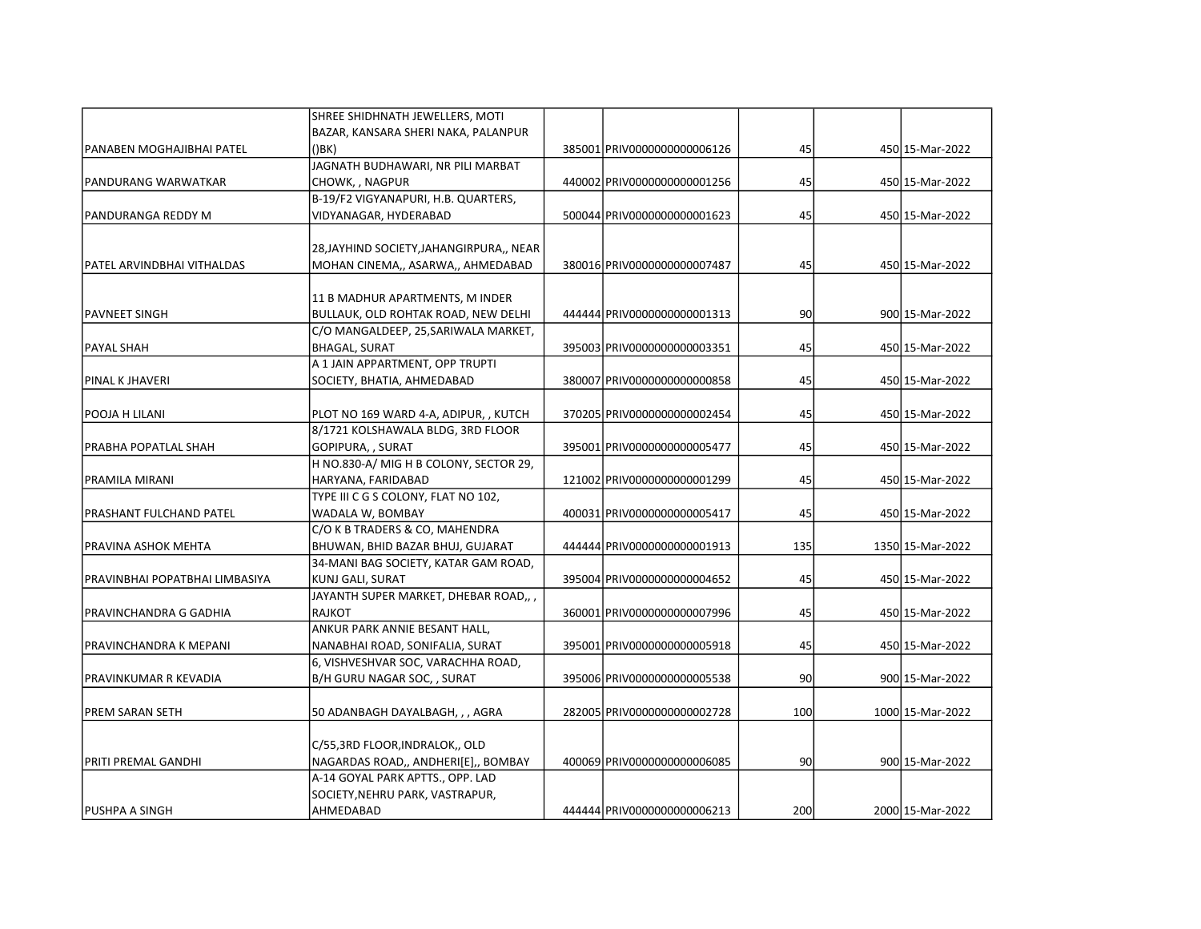|                                | SHREE SHIDHNATH JEWELLERS, MOTI                         |                              |     |                  |
|--------------------------------|---------------------------------------------------------|------------------------------|-----|------------------|
|                                | BAZAR, KANSARA SHERI NAKA, PALANPUR                     |                              |     |                  |
| PANABEN MOGHAJIBHAI PATEL      | $($ ) $BK$ )                                            | 385001 PRIV0000000000006126  | 45  | 450 15-Mar-2022  |
|                                | JAGNATH BUDHAWARI, NR PILI MARBAT                       |                              |     |                  |
| PANDURANG WARWATKAR            | CHOWK, , NAGPUR                                         | 440002 PRIV00000000000001256 | 45  | 450 15-Mar-2022  |
|                                | B-19/F2 VIGYANAPURI, H.B. QUARTERS,                     |                              |     |                  |
| PANDURANGA REDDY M             | VIDYANAGAR, HYDERABAD                                   | 500044 PRIV00000000000001623 | 45  | 450 15-Mar-2022  |
|                                |                                                         |                              |     |                  |
|                                | 28, JAYHIND SOCIETY, JAHANGIRPURA,, NEAR                |                              |     |                  |
| lPATEL ARVINDBHAI VITHALDAS    | MOHAN CINEMA,, ASARWA,, AHMEDABAD                       | 380016 PRIV0000000000007487  | 45  | 450 15-Mar-2022  |
|                                | 11 B MADHUR APARTMENTS, M INDER                         |                              |     |                  |
| PAVNEET SINGH                  | BULLAUK, OLD ROHTAK ROAD, NEW DELHI                     | 444444 PRIV0000000000001313  | 90  | 900 15-Mar-2022  |
|                                | C/O MANGALDEEP, 25, SARIWALA MARKET,                    |                              |     |                  |
| PAYAL SHAH                     |                                                         | 395003 PRIV0000000000003351  | 45  |                  |
|                                | <b>BHAGAL, SURAT</b><br>A 1 JAIN APPARTMENT, OPP TRUPTI |                              |     | 450 15-Mar-2022  |
| <b>PINAL K JHAVERI</b>         |                                                         | 380007 PRIV0000000000000858  | 45  |                  |
|                                | SOCIETY, BHATIA, AHMEDABAD                              |                              |     | 450 15-Mar-2022  |
| POOJA H LILANI                 | PLOT NO 169 WARD 4-A, ADIPUR, , KUTCH                   | 370205 PRIV0000000000002454  | 45  | 450 15-Mar-2022  |
|                                | 8/1721 KOLSHAWALA BLDG, 3RD FLOOR                       |                              |     |                  |
| PRABHA POPATLAL SHAH           | GOPIPURA, , SURAT                                       | 395001 PRIV0000000000005477  | 45  | 450 15-Mar-2022  |
|                                | H NO.830-A/MIG H B COLONY, SECTOR 29,                   |                              |     |                  |
| PRAMILA MIRANI                 | HARYANA, FARIDABAD                                      | 121002 PRIV00000000000001299 | 45  | 450 15-Mar-2022  |
|                                | TYPE III C G S COLONY, FLAT NO 102,                     |                              |     |                  |
| PRASHANT FULCHAND PATEL        | WADALA W, BOMBAY                                        | 400031 PRIV0000000000005417  | 45  | 450 15-Mar-2022  |
|                                | C/O K B TRADERS & CO, MAHENDRA                          |                              |     |                  |
| PRAVINA ASHOK MEHTA            | BHUWAN, BHID BAZAR BHUJ, GUJARAT                        | 444444 PRIV0000000000001913  | 135 | 1350 15-Mar-2022 |
|                                | 34-MANI BAG SOCIETY, KATAR GAM ROAD,                    |                              |     |                  |
| PRAVINBHAI POPATBHAI LIMBASIYA | KUNJ GALI, SURAT                                        | 395004 PRIV0000000000004652  | 45  | 450 15-Mar-2022  |
|                                | JAYANTH SUPER MARKET, DHEBAR ROAD,, ,                   |                              |     |                  |
| PRAVINCHANDRA G GADHIA         | <b>RAJKOT</b>                                           | 360001 PRIV00000000000007996 | 45  | 450 15-Mar-2022  |
|                                | ANKUR PARK ANNIE BESANT HALL,                           |                              |     |                  |
| PRAVINCHANDRA K MEPANI         | NANABHAI ROAD, SONIFALIA, SURAT                         | 395001 PRIV00000000000005918 | 45  | 450 15-Mar-2022  |
|                                | 6, VISHVESHVAR SOC, VARACHHA ROAD,                      |                              |     |                  |
| PRAVINKUMAR R KEVADIA          | B/H GURU NAGAR SOC, , SURAT                             | 395006 PRIV0000000000005538  | 90  | 900 15-Mar-2022  |
|                                |                                                         |                              |     |                  |
| lPREM SARAN SETH               | 50 ADANBAGH DAYALBAGH, , , AGRA                         | 282005 PRIV0000000000002728  | 100 | 1000 15-Mar-2022 |
|                                | C/55,3RD FLOOR, INDRALOK,, OLD                          |                              |     |                  |
| IPRITI PREMAL GANDHI           | NAGARDAS ROAD,, ANDHERI[E],, BOMBAY                     | 400069 PRIV0000000000006085  | 90  | 900 15-Mar-2022  |
|                                | A-14 GOYAL PARK APTTS., OPP. LAD                        |                              |     |                  |
|                                | SOCIETY, NEHRU PARK, VASTRAPUR,                         |                              |     |                  |
| IPUSHPA A SINGH                | AHMEDABAD                                               | 444444 PRIV0000000000006213  | 200 | 2000 15-Mar-2022 |
|                                |                                                         |                              |     |                  |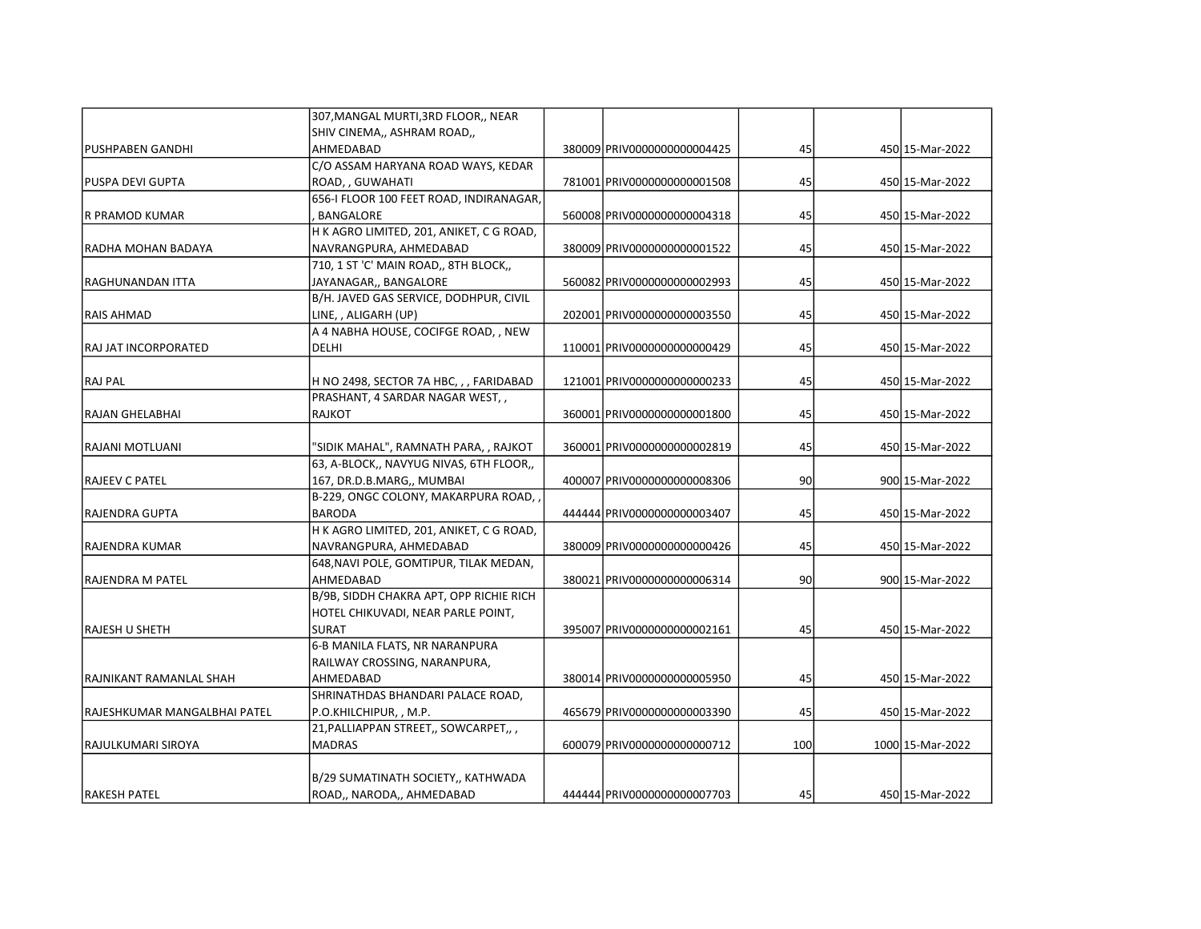|                              | 307, MANGAL MURTI, 3RD FLOOR,, NEAR      |                              |     |                  |
|------------------------------|------------------------------------------|------------------------------|-----|------------------|
|                              | SHIV CINEMA,, ASHRAM ROAD,,              |                              |     |                  |
| <b>PUSHPABEN GANDHI</b>      | AHMEDABAD                                | 380009 PRIV0000000000004425  | 45  | 450 15-Mar-2022  |
|                              | C/O ASSAM HARYANA ROAD WAYS, KEDAR       |                              |     |                  |
| PUSPA DEVI GUPTA             | ROAD, , GUWAHATI                         | 781001 PRIV0000000000001508  | 45  | 450 15-Mar-2022  |
|                              | 656-I FLOOR 100 FEET ROAD, INDIRANAGAR,  |                              |     |                  |
| R PRAMOD KUMAR               | BANGALORE                                | 560008 PRIV00000000000004318 | 45  | 450 15-Mar-2022  |
|                              | H K AGRO LIMITED, 201, ANIKET, C G ROAD, |                              |     |                  |
| RADHA MOHAN BADAYA           | NAVRANGPURA, AHMEDABAD                   | 380009 PRIV00000000000001522 | 45  | 450 15-Mar-2022  |
|                              | 710, 1 ST 'C' MAIN ROAD,, 8TH BLOCK,,    |                              |     |                  |
| RAGHUNANDAN ITTA             | JAYANAGAR,, BANGALORE                    | 560082 PRIV0000000000002993  | 45  | 450 15-Mar-2022  |
|                              | B/H. JAVED GAS SERVICE, DODHPUR, CIVIL   |                              |     |                  |
| <b>RAIS AHMAD</b>            | LINE, , ALIGARH (UP)                     | 202001 PRIV0000000000003550  | 45  | 450 15-Mar-2022  |
|                              | A 4 NABHA HOUSE, COCIFGE ROAD, , NEW     |                              |     |                  |
| RAJ JAT INCORPORATED         | DELHI                                    | 110001 PRIV00000000000000429 | 45  | 450 15-Mar-2022  |
|                              |                                          |                              |     |                  |
| <b>RAJ PAL</b>               | H NO 2498, SECTOR 7A HBC, , , FARIDABAD  | 121001 PRIV0000000000000233  | 45  | 450 15-Mar-2022  |
|                              | PRASHANT, 4 SARDAR NAGAR WEST,,          |                              |     |                  |
| RAJAN GHELABHAI              | <b>RAJKOT</b>                            | 360001 PRIV0000000000001800  | 45  | 450 15-Mar-2022  |
|                              |                                          |                              |     |                  |
| RAJANI MOTLUANI              | "SIDIK MAHAL", RAMNATH PARA, , RAJKOT    | 360001 PRIV00000000000002819 | 45  | 450 15-Mar-2022  |
|                              | 63, A-BLOCK,, NAVYUG NIVAS, 6TH FLOOR,,  |                              |     |                  |
| <b>RAJEEV C PATEL</b>        | 167, DR.D.B.MARG,, MUMBAI                | 400007 PRIV00000000000008306 | 90  | 900 15-Mar-2022  |
|                              | B-229, ONGC COLONY, MAKARPURA ROAD,      |                              |     |                  |
| <b>RAJENDRA GUPTA</b>        | <b>BARODA</b>                            | 444444 PRIV0000000000003407  | 45  | 450 15-Mar-2022  |
|                              | H K AGRO LIMITED, 201, ANIKET, C G ROAD, |                              |     |                  |
| RAJENDRA KUMAR               | NAVRANGPURA, AHMEDABAD                   | 380009 PRIV00000000000000426 | 45  | 450 15-Mar-2022  |
|                              | 648, NAVI POLE, GOMTIPUR, TILAK MEDAN,   |                              |     |                  |
| RAJENDRA M PATEL             | AHMEDABAD                                | 380021 PRIV0000000000006314  | 90  | 900 15-Mar-2022  |
|                              | B/9B, SIDDH CHAKRA APT, OPP RICHIE RICH  |                              |     |                  |
|                              | HOTEL CHIKUVADI, NEAR PARLE POINT,       |                              |     |                  |
| <b>RAJESH U SHETH</b>        | <b>SURAT</b>                             | 395007 PRIV0000000000002161  | 45  | 450 15-Mar-2022  |
|                              | 6-B MANILA FLATS, NR NARANPURA           |                              |     |                  |
|                              | RAILWAY CROSSING, NARANPURA,             |                              |     |                  |
| IRAJNIKANT RAMANLAL SHAH     | AHMEDABAD                                | 380014 PRIV0000000000005950  | 45  | 450 15-Mar-2022  |
|                              | SHRINATHDAS BHANDARI PALACE ROAD,        |                              |     |                  |
| RAJESHKUMAR MANGALBHAI PATEL | P.O.KHILCHIPUR, , M.P.                   | 465679 PRIV0000000000003390  | 45  | 450 15-Mar-2022  |
|                              | 21, PALLIAPPAN STREET,, SOWCARPET,,      |                              |     |                  |
| RAJULKUMARI SIROYA           | <b>MADRAS</b>                            | 600079 PRIV0000000000000712  | 100 | 1000 15-Mar-2022 |
|                              |                                          |                              |     |                  |
|                              | B/29 SUMATINATH SOCIETY,, KATHWADA       |                              |     |                  |
| <b>RAKESH PATEL</b>          | ROAD,, NARODA,, AHMEDABAD                | 444444 PRIV0000000000007703  | 45  | 450 15-Mar-2022  |
|                              |                                          |                              |     |                  |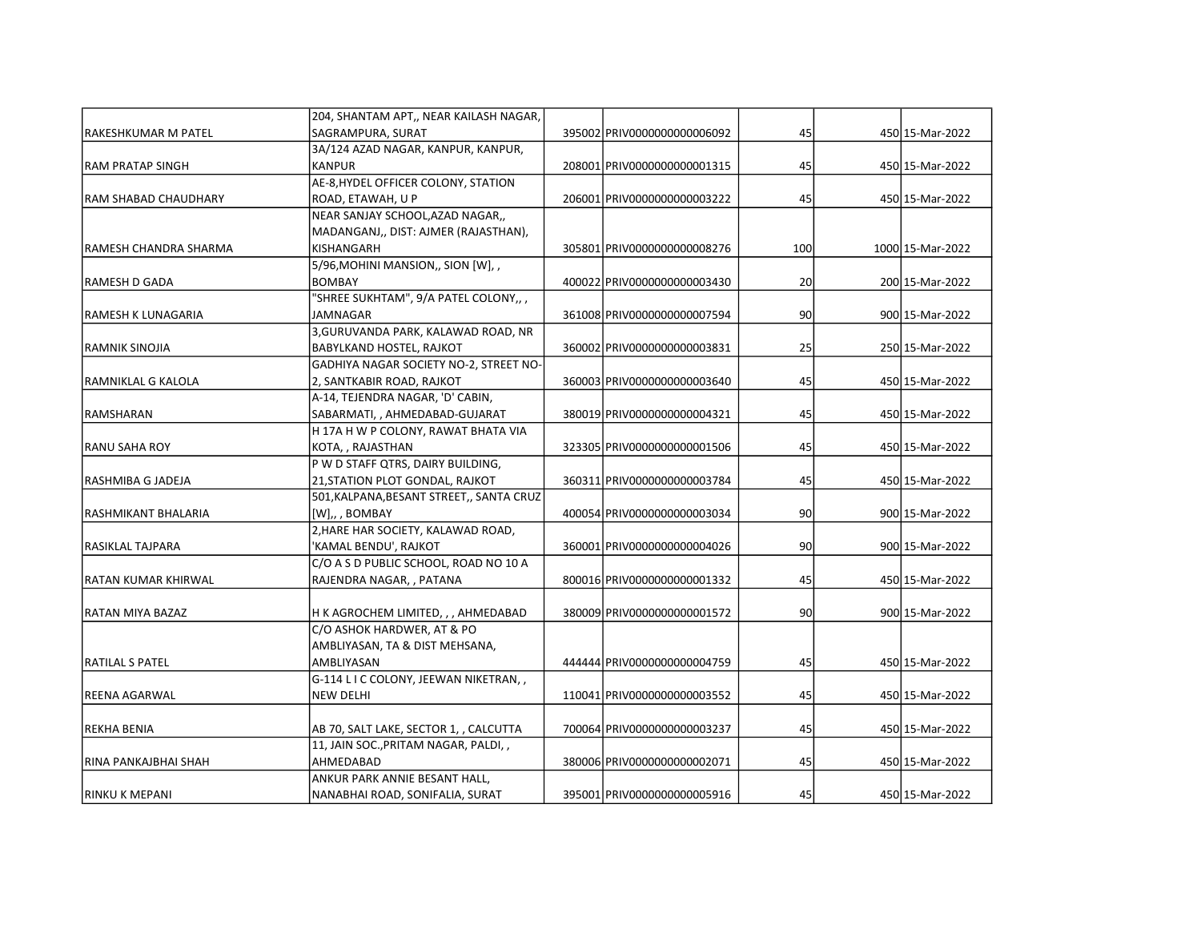|                         | 204, SHANTAM APT,, NEAR KAILASH NAGAR,   |                              |     |                  |
|-------------------------|------------------------------------------|------------------------------|-----|------------------|
| RAKESHKUMAR M PATEL     | SAGRAMPURA, SURAT                        | 395002 PRIV0000000000006092  | 45  | 450 15-Mar-2022  |
|                         | 3A/124 AZAD NAGAR, KANPUR, KANPUR,       |                              |     |                  |
| <b>RAM PRATAP SINGH</b> | <b>KANPUR</b>                            | 208001 PRIV00000000000001315 | 45  | 450 15-Mar-2022  |
|                         | AE-8, HYDEL OFFICER COLONY, STATION      |                              |     |                  |
| lRAM SHABAD CHAUDHARY   | ROAD, ETAWAH, U P                        | 206001 PRIV0000000000003222  | 45  | 450 15-Mar-2022  |
|                         | NEAR SANJAY SCHOOL, AZAD NAGAR,,         |                              |     |                  |
|                         | MADANGANJ,, DIST: AJMER (RAJASTHAN),     |                              |     |                  |
| RAMESH CHANDRA SHARMA   | KISHANGARH                               | 305801 PRIV00000000000008276 | 100 | 1000 15-Mar-2022 |
|                         | 5/96, MOHINI MANSION,, SION [W], ,       |                              |     |                  |
| RAMESH D GADA           | <b>BOMBAY</b>                            | 400022 PRIV0000000000003430  | 20  | 200 15-Mar-2022  |
|                         | "SHREE SUKHTAM", 9/A PATEL COLONY,,,     |                              |     |                  |
| RAMESH K LUNAGARIA      | JAMNAGAR                                 | 361008 PRIV00000000000007594 | 90  | 900 15-Mar-2022  |
|                         | 3, GURUVANDA PARK, KALAWAD ROAD, NR      |                              |     |                  |
| RAMNIK SINOJIA          | BABYLKAND HOSTEL, RAJKOT                 | 360002 PRIV00000000000003831 | 25  | 250 15-Mar-2022  |
|                         | GADHIYA NAGAR SOCIETY NO-2, STREET NO-   |                              |     |                  |
| RAMNIKLAL G KALOLA      | 2, SANTKABIR ROAD, RAJKOT                | 360003 PRIV00000000000003640 | 45  | 450 15-Mar-2022  |
|                         | A-14, TEJENDRA NAGAR, 'D' CABIN,         |                              |     |                  |
| RAMSHARAN               | SABARMATI,, AHMEDABAD-GUJARAT            | 380019 PRIV00000000000004321 | 45  | 450 15-Mar-2022  |
|                         | H 17A H W P COLONY, RAWAT BHATA VIA      |                              |     |                  |
| RANU SAHA ROY           | KOTA,, RAJASTHAN                         | 323305 PRIV00000000000001506 | 45  | 450 15-Mar-2022  |
|                         | P W D STAFF QTRS, DAIRY BUILDING,        |                              |     |                  |
| RASHMIBA G JADEJA       | 21, STATION PLOT GONDAL, RAJKOT          | 360311 PRIV0000000000003784  | 45  | 450 15-Mar-2022  |
|                         | 501, KALPANA, BESANT STREET,, SANTA CRUZ |                              |     |                  |
| RASHMIKANT BHALARIA     | $[W]$ ,, BOMBAY                          | 400054 PRIV00000000000003034 | 90  | 900 15-Mar-2022  |
|                         | 2, HARE HAR SOCIETY, KALAWAD ROAD,       |                              |     |                  |
| RASIKLAL TAJPARA        | 'KAMAL BENDU', RAJKOT                    | 360001 PRIV00000000000004026 | 90  | 900 15-Mar-2022  |
|                         | C/O A S D PUBLIC SCHOOL, ROAD NO 10 A    |                              |     |                  |
| RATAN KUMAR KHIRWAL     | RAJENDRA NAGAR, , PATANA                 | 800016 PRIV0000000000001332  | 45  | 450 15-Mar-2022  |
|                         |                                          |                              |     |                  |
| RATAN MIYA BAZAZ        | H K AGROCHEM LIMITED, , , AHMEDABAD      | 380009 PRIV00000000000001572 | 90  | 900 15-Mar-2022  |
|                         | C/O ASHOK HARDWER, AT & PO               |                              |     |                  |
|                         | AMBLIYASAN, TA & DIST MEHSANA,           |                              |     |                  |
| RATILAL S PATEL         | AMBLIYASAN                               | 444444 PRIV0000000000004759  | 45  | 450 15-Mar-2022  |
|                         | G-114 L I C COLONY, JEEWAN NIKETRAN,,    |                              |     |                  |
| REENA AGARWAL           | <b>NEW DELHI</b>                         | 110041 PRIV0000000000003552  | 45  | 450 15-Mar-2022  |
|                         |                                          |                              |     |                  |
| REKHA BENIA             | AB 70, SALT LAKE, SECTOR 1, , CALCUTTA   | 700064 PRIV0000000000003237  | 45  | 450 15-Mar-2022  |
|                         | 11, JAIN SOC., PRITAM NAGAR, PALDI,,     |                              |     |                  |
| RINA PANKAJBHAI SHAH    | AHMEDABAD                                | 380006 PRIV0000000000002071  | 45  | 450 15-Mar-2022  |
|                         | ANKUR PARK ANNIE BESANT HALL,            |                              |     |                  |
| RINKU K MEPANI          | NANABHAI ROAD, SONIFALIA, SURAT          | 395001 PRIV0000000000005916  | 45  | 450 15-Mar-2022  |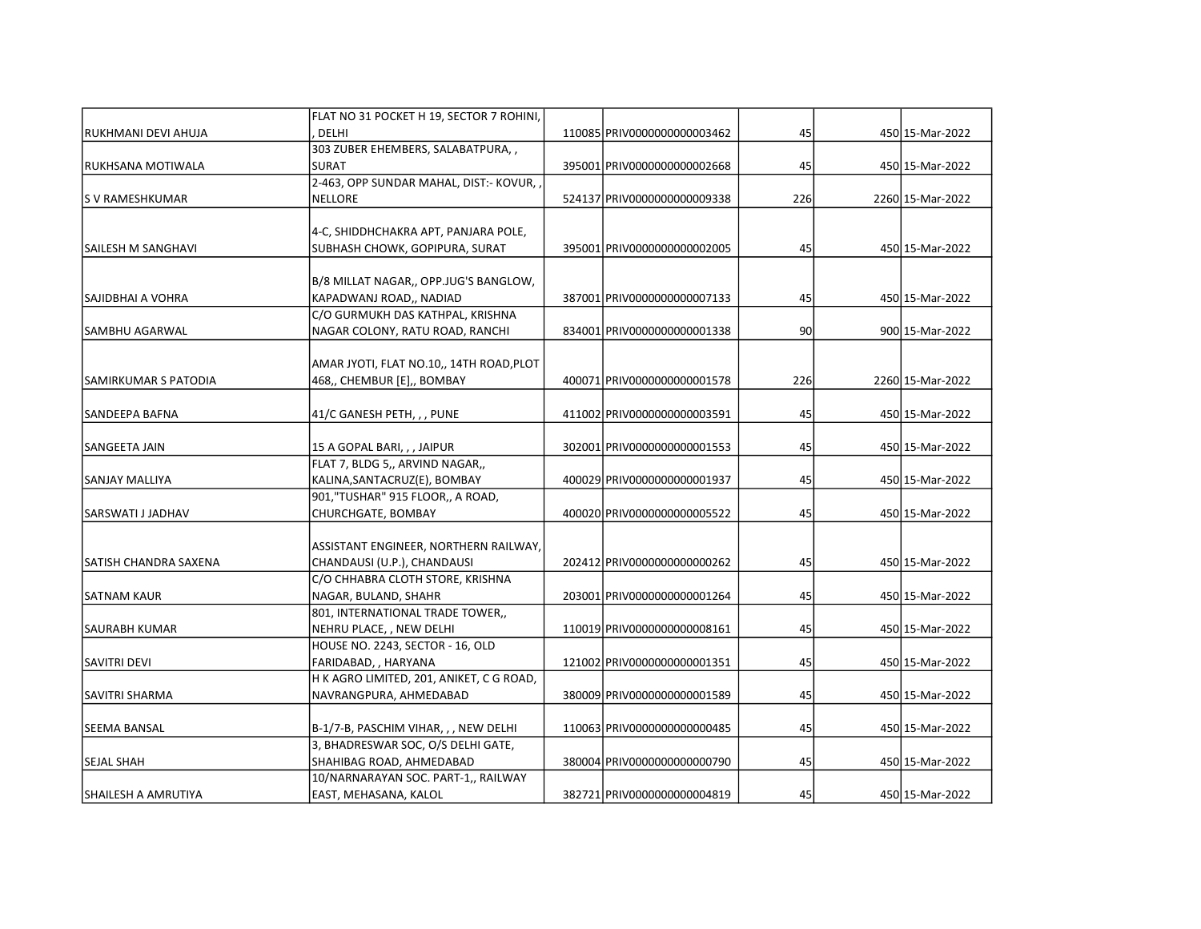|                       | FLAT NO 31 POCKET H 19, SECTOR 7 ROHINI, |                              |     |                  |
|-----------------------|------------------------------------------|------------------------------|-----|------------------|
| RUKHMANI DEVI AHUJA   | <b>DELHI</b>                             | 110085 PRIV0000000000003462  | 45  | 450 15-Mar-2022  |
|                       | 303 ZUBER EHEMBERS, SALABATPURA,,        |                              |     |                  |
| RUKHSANA MOTIWALA     | <b>SURAT</b>                             | 395001 PRIV0000000000002668  | 45  | 450 15-Mar-2022  |
|                       | 2-463, OPP SUNDAR MAHAL, DIST:- KOVUR,   |                              |     |                  |
| S V RAMESHKUMAR       | <b>NELLORE</b>                           | 524137 PRIV0000000000009338  | 226 | 2260 15-Mar-2022 |
|                       | 4-C, SHIDDHCHAKRA APT, PANJARA POLE,     |                              |     |                  |
| SAILESH M SANGHAVI    | SUBHASH CHOWK, GOPIPURA, SURAT           | 395001 PRIV0000000000002005  | 45  | 450 15-Mar-2022  |
|                       |                                          |                              |     |                  |
|                       | B/8 MILLAT NAGAR,, OPP.JUG'S BANGLOW,    |                              |     |                  |
| SAJIDBHAI A VOHRA     | KAPADWANJ ROAD,, NADIAD                  | 387001 PRIV00000000000007133 | 45  | 450 15-Mar-2022  |
|                       | C/O GURMUKH DAS KATHPAL, KRISHNA         |                              |     |                  |
| <b>SAMBHU AGARWAL</b> | NAGAR COLONY, RATU ROAD, RANCHI          | 834001 PRIV00000000000001338 | 90  | 900 15-Mar-2022  |
|                       |                                          |                              |     |                  |
|                       | AMAR JYOTI, FLAT NO.10,, 14TH ROAD, PLOT |                              |     |                  |
| SAMIRKUMAR S PATODIA  | 468,, CHEMBUR [E],, BOMBAY               | 400071 PRIV00000000000001578 | 226 | 2260 15-Mar-2022 |
|                       |                                          |                              |     |                  |
| SANDEEPA BAFNA        | 41/C GANESH PETH, , , PUNE               | 411002 PRIV00000000000003591 | 45  | 450 15-Mar-2022  |
|                       |                                          |                              |     |                  |
| SANGEETA JAIN         | 15 A GOPAL BARI, , , JAIPUR              | 302001 PRIV00000000000001553 | 45  | 450 15-Mar-2022  |
|                       | FLAT 7, BLDG 5,, ARVIND NAGAR,,          |                              |     |                  |
| SANJAY MALLIYA        | KALINA, SANTACRUZ(E), BOMBAY             | 400029 PRIV00000000000001937 | 45  | 450 15-Mar-2022  |
|                       | 901,"TUSHAR" 915 FLOOR,, A ROAD,         |                              |     |                  |
| SARSWATI J JADHAV     | CHURCHGATE, BOMBAY                       | 400020 PRIV0000000000005522  | 45  | 450 15-Mar-2022  |
|                       |                                          |                              |     |                  |
|                       | ASSISTANT ENGINEER, NORTHERN RAILWAY,    |                              |     |                  |
| SATISH CHANDRA SAXENA | CHANDAUSI (U.P.), CHANDAUSI              | 202412 PRIV0000000000000262  | 45  | 450 15-Mar-2022  |
|                       | C/O CHHABRA CLOTH STORE, KRISHNA         |                              |     |                  |
| <b>SATNAM KAUR</b>    | NAGAR, BULAND, SHAHR                     | 203001 PRIV00000000000001264 | 45  | 450 15-Mar-2022  |
|                       | 801, INTERNATIONAL TRADE TOWER,,         |                              |     |                  |
| <b>SAURABH KUMAR</b>  | NEHRU PLACE, , NEW DELHI                 | 110019 PRIV0000000000008161  | 45  | 450 15-Mar-2022  |
|                       | HOUSE NO. 2243, SECTOR - 16, OLD         |                              |     |                  |
| <b>SAVITRI DEVI</b>   | FARIDABAD, , HARYANA                     | 121002 PRIV00000000000001351 | 45  | 450 15-Mar-2022  |
|                       | H K AGRO LIMITED, 201, ANIKET, C G ROAD, |                              |     |                  |
| <b>SAVITRI SHARMA</b> | NAVRANGPURA, AHMEDABAD                   | 380009 PRIV00000000000001589 | 45  | 450 15-Mar-2022  |
| <b>SEEMA BANSAL</b>   | B-1/7-B, PASCHIM VIHAR, , , NEW DELHI    | 110063 PRIV0000000000000485  | 45  | 450 15-Mar-2022  |
|                       | 3, BHADRESWAR SOC, O/S DELHI GATE,       |                              |     |                  |
| <b>SEJAL SHAH</b>     | SHAHIBAG ROAD, AHMEDABAD                 | 380004 PRIV00000000000000790 | 45  | 450 15-Mar-2022  |
|                       | 10/NARNARAYAN SOC. PART-1,, RAILWAY      |                              |     |                  |
| SHAILESH A AMRUTIYA   | EAST, MEHASANA, KALOL                    | 382721 PRIV0000000000004819  | 45  | 450 15-Mar-2022  |
|                       |                                          |                              |     |                  |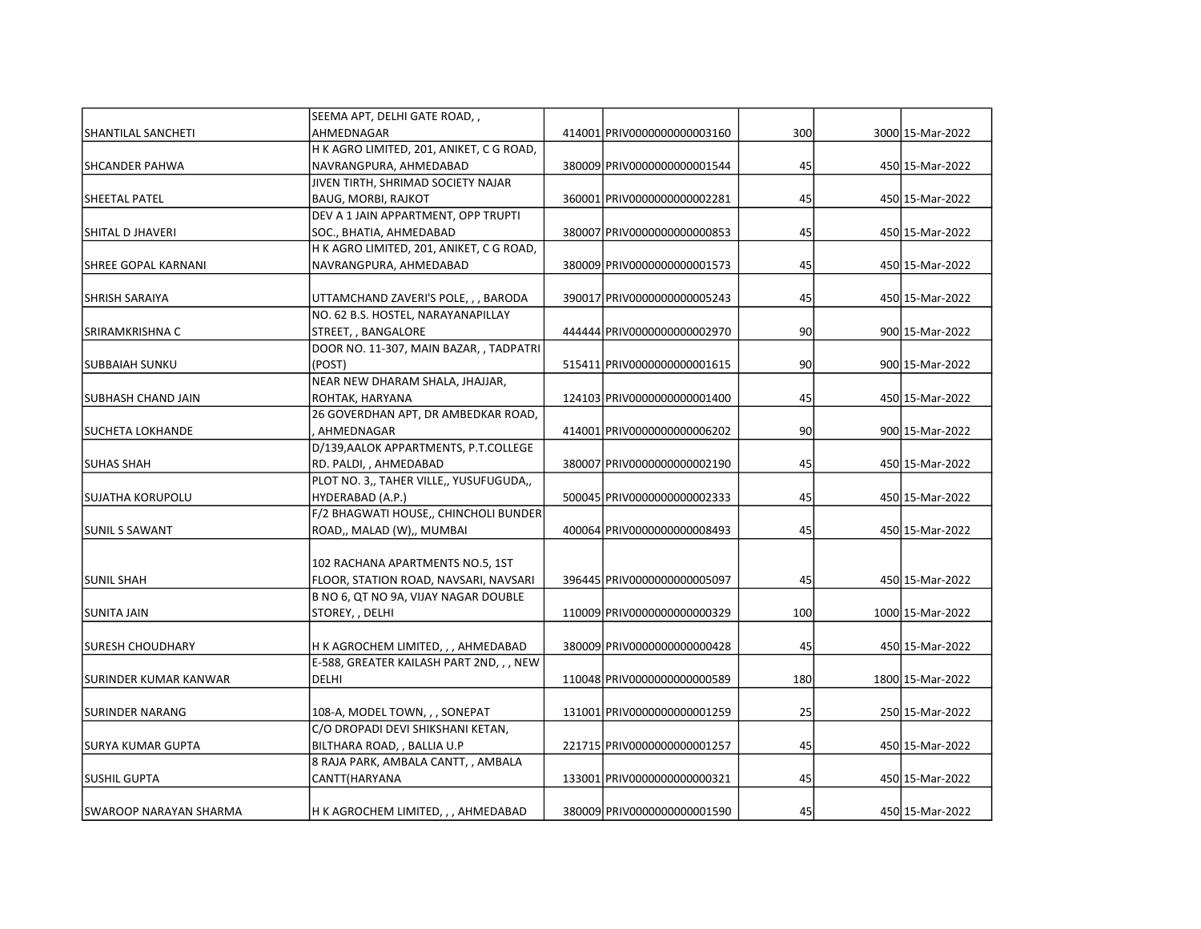|                            | SEEMA APT, DELHI GATE ROAD,,             |                              |     |                  |
|----------------------------|------------------------------------------|------------------------------|-----|------------------|
| <b>SHANTILAL SANCHETI</b>  | AHMEDNAGAR                               | 414001 PRIV0000000000003160  | 300 | 3000 15-Mar-2022 |
|                            | H K AGRO LIMITED, 201, ANIKET, C G ROAD, |                              |     |                  |
| SHCANDER PAHWA             | NAVRANGPURA, AHMEDABAD                   | 380009 PRIV00000000000001544 | 45  | 450 15-Mar-2022  |
|                            | JIVEN TIRTH, SHRIMAD SOCIETY NAJAR       |                              |     |                  |
| SHEETAL PATEL              | <b>BAUG, MORBI, RAJKOT</b>               | 360001 PRIV00000000000002281 | 45  | 450 15-Mar-2022  |
|                            | DEV A 1 JAIN APPARTMENT, OPP TRUPTI      |                              |     |                  |
| SHITAL D JHAVERI           | SOC., BHATIA, AHMEDABAD                  | 380007 PRIV00000000000000853 | 45  | 450 15-Mar-2022  |
|                            | H K AGRO LIMITED, 201, ANIKET, C G ROAD, |                              |     |                  |
| <b>SHREE GOPAL KARNANI</b> | NAVRANGPURA, AHMEDABAD                   | 380009 PRIV00000000000001573 | 45  | 450 15-Mar-2022  |
| SHRISH SARAIYA             | UTTAMCHAND ZAVERI'S POLE, , , BARODA     | 390017 PRIV0000000000005243  | 45  | 450 15-Mar-2022  |
|                            | NO. 62 B.S. HOSTEL, NARAYANAPILLAY       |                              |     |                  |
| SRIRAMKRISHNA C            | STREET, , BANGALORE                      | 444444 PRIV0000000000002970  | 90  | 900 15-Mar-2022  |
|                            | DOOR NO. 11-307, MAIN BAZAR, , TADPATRI  |                              |     |                  |
| <b>SUBBAIAH SUNKU</b>      | (POST)                                   | 515411 PRIV0000000000001615  | 90  | 900 15-Mar-2022  |
|                            | NEAR NEW DHARAM SHALA, JHAJJAR,          |                              |     |                  |
| SUBHASH CHAND JAIN         | ROHTAK, HARYANA                          | 124103 PRIV0000000000001400  | 45  | 450 15-Mar-2022  |
|                            | 26 GOVERDHAN APT, DR AMBEDKAR ROAD,      |                              |     |                  |
| SUCHETA LOKHANDE           | AHMEDNAGAR                               | 414001 PRIV0000000000006202  | 90  | 900 15-Mar-2022  |
|                            | D/139, AALOK APPARTMENTS, P.T.COLLEGE    |                              |     |                  |
| <b>SUHAS SHAH</b>          | RD. PALDI, , AHMEDABAD                   | 380007 PRIV0000000000002190  | 45  | 450 15-Mar-2022  |
|                            | PLOT NO. 3,, TAHER VILLE,, YUSUFUGUDA,,  |                              |     |                  |
| <b>SUJATHA KORUPOLU</b>    | HYDERABAD (A.P.)                         | 500045 PRIV0000000000002333  | 45  | 450 15-Mar-2022  |
|                            | F/2 BHAGWATI HOUSE,, CHINCHOLI BUNDER    |                              |     |                  |
| <b>SUNIL S SAWANT</b>      | ROAD,, MALAD (W),, MUMBAI                | 400064 PRIV0000000000008493  | 45  | 450 15-Mar-2022  |
|                            |                                          |                              |     |                  |
|                            | 102 RACHANA APARTMENTS NO.5, 1ST         |                              |     |                  |
| <b>SUNIL SHAH</b>          | FLOOR, STATION ROAD, NAVSARI, NAVSARI    | 396445 PRIV0000000000005097  | 45  | 450 15-Mar-2022  |
|                            | B NO 6, QT NO 9A, VIJAY NAGAR DOUBLE     |                              |     |                  |
| SUNITA JAIN                | STOREY,, DELHI                           | 110009 PRIV00000000000000329 | 100 | 1000 15-Mar-2022 |
| SURESH CHOUDHARY           | H K AGROCHEM LIMITED, , , AHMEDABAD      | 380009 PRIV00000000000000428 | 45  | 450 15-Mar-2022  |
|                            | E-588, GREATER KAILASH PART 2ND, , , NEW |                              |     |                  |
| SURINDER KUMAR KANWAR      | DELHI                                    | 110048 PRIV0000000000000589  | 180 | 1800 15-Mar-2022 |
|                            |                                          |                              |     |                  |
| SURINDER NARANG            | 108-A, MODEL TOWN, , , SONEPAT           | 131001 PRIV0000000000001259  | 25  | 250 15-Mar-2022  |
|                            | C/O DROPADI DEVI SHIKSHANI KETAN,        |                              |     |                  |
| <b>SURYA KUMAR GUPTA</b>   | BILTHARA ROAD, , BALLIA U.P              | 221715 PRIV00000000000001257 | 45  | 450 15-Mar-2022  |
|                            | 8 RAJA PARK, AMBALA CANTT, , AMBALA      |                              |     |                  |
| <b>SUSHIL GUPTA</b>        | CANTT(HARYANA                            | 133001 PRIV0000000000000321  | 45  | 450 15-Mar-2022  |
|                            |                                          |                              |     |                  |
| ISWAROOP NARAYAN SHARMA    | H K AGROCHEM LIMITED, , , AHMEDABAD      | 380009 PRIV00000000000001590 | 45  | 450 15-Mar-2022  |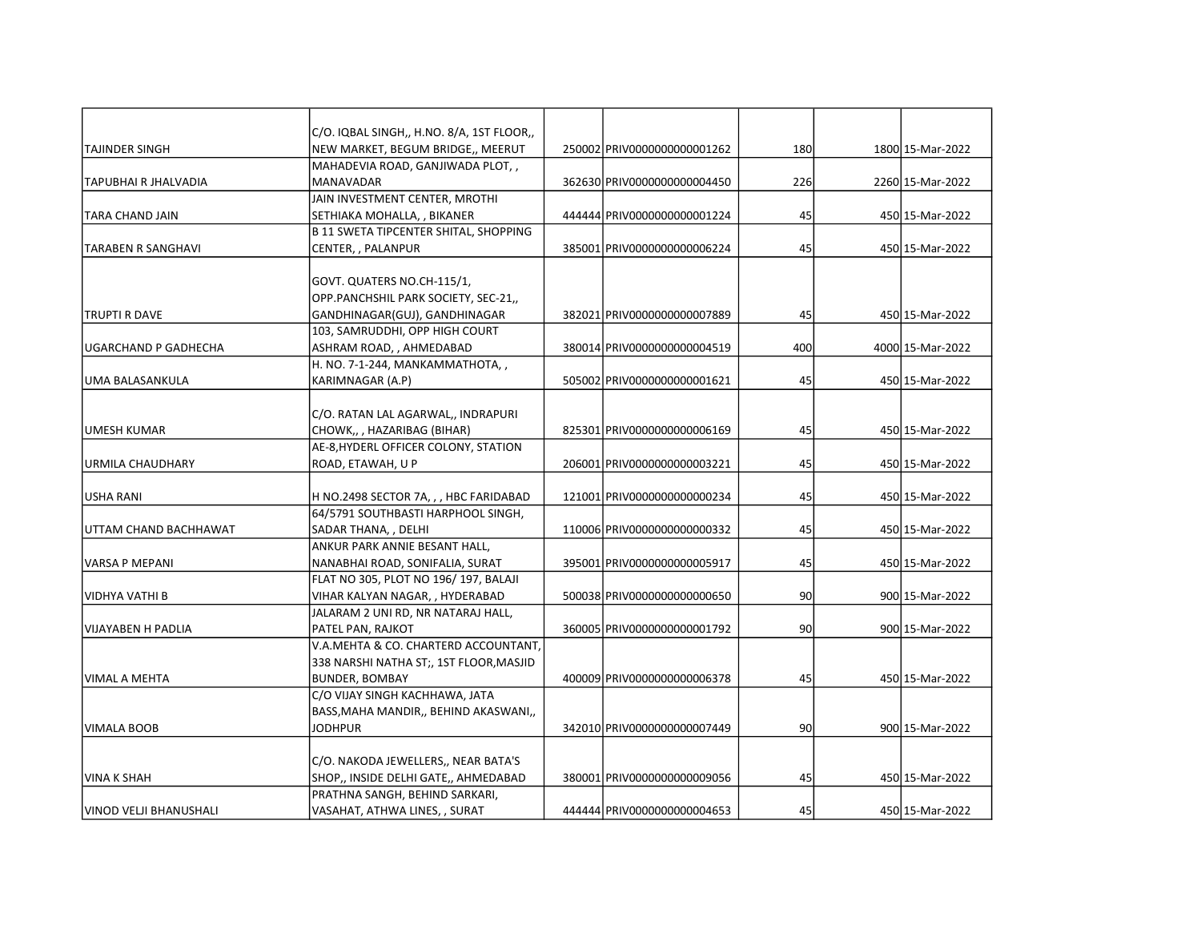|                         | C/O. IQBAL SINGH,, H.NO. 8/A, 1ST FLOOR,,    |                              |     |                  |
|-------------------------|----------------------------------------------|------------------------------|-----|------------------|
| <b>TAJINDER SINGH</b>   | NEW MARKET, BEGUM BRIDGE,, MEERUT            | 250002 PRIV00000000000001262 | 180 | 1800 15-Mar-2022 |
|                         | MAHADEVIA ROAD, GANJIWADA PLOT,,             |                              |     |                  |
| TAPUBHAI R JHALVADIA    | MANAVADAR                                    | 362630 PRIV0000000000004450  | 226 | 2260 15-Mar-2022 |
|                         | JAIN INVESTMENT CENTER, MROTHI               |                              |     |                  |
| TARA CHAND JAIN         | SETHIAKA MOHALLA, , BIKANER                  | 444444 PRIV0000000000001224  | 45  | 450 15-Mar-2022  |
|                         | <b>B 11 SWETA TIPCENTER SHITAL, SHOPPING</b> |                              |     |                  |
| ITARABEN R SANGHAVI     | CENTER, , PALANPUR                           | 385001 PRIV0000000000006224  | 45  | 450 15-Mar-2022  |
|                         |                                              |                              |     |                  |
|                         | GOVT. QUATERS NO.CH-115/1,                   |                              |     |                  |
|                         | OPP.PANCHSHIL PARK SOCIETY, SEC-21,,         |                              |     |                  |
| ITRUPTI R DAVE          | GANDHINAGAR(GUJ), GANDHINAGAR                | 382021 PRIV00000000000007889 | 45  | 450 15-Mar-2022  |
|                         | 103, SAMRUDDHI, OPP HIGH COURT               |                              |     |                  |
| UGARCHAND P GADHECHA    | ASHRAM ROAD, , AHMEDABAD                     | 380014 PRIV00000000000004519 | 400 | 4000 15-Mar-2022 |
|                         | H. NO. 7-1-244, MANKAMMATHOTA,,              |                              |     |                  |
| luma balasankula        | KARIMNAGAR (A.P)                             | 505002 PRIV00000000000001621 | 45  | 450 15-Mar-2022  |
|                         |                                              |                              |     |                  |
|                         | C/O. RATAN LAL AGARWAL,, INDRAPURI           |                              |     |                  |
| JUMESH KUMAR            | CHOWK,,, HAZARIBAG (BIHAR)                   | 825301 PRIV0000000000006169  | 45  | 450 15-Mar-2022  |
|                         | AE-8, HYDERL OFFICER COLONY, STATION         |                              |     |                  |
| <b>URMILA CHAUDHARY</b> | ROAD, ETAWAH, U P                            | 206001 PRIV00000000000003221 | 45  | 450 15-Mar-2022  |
|                         |                                              |                              |     |                  |
| USHA RANI               | H NO.2498 SECTOR 7A, , , HBC FARIDABAD       | 121001 PRIV0000000000000234  | 45  | 450 15-Mar-2022  |
|                         | 64/5791 SOUTHBASTI HARPHOOL SINGH,           |                              |     |                  |
| UTTAM CHAND BACHHAWAT   | SADAR THANA, , DELHI                         | 110006 PRIV0000000000000332  | 45  | 450 15-Mar-2022  |
|                         | ANKUR PARK ANNIE BESANT HALL,                |                              |     |                  |
| VARSA P MEPANI          | NANABHAI ROAD, SONIFALIA, SURAT              | 395001 PRIV0000000000005917  | 45  | 450 15-Mar-2022  |
|                         | FLAT NO 305, PLOT NO 196/197, BALAJI         |                              |     |                  |
| IVIDHYA VATHI B         | VIHAR KALYAN NAGAR, , HYDERABAD              | 500038 PRIV0000000000000650  | 90  | 900 15-Mar-2022  |
|                         | JALARAM 2 UNI RD, NR NATARAJ HALL,           |                              |     |                  |
| VIJAYABEN H PADLIA      | PATEL PAN, RAJKOT                            | 360005 PRIV00000000000001792 | 90  | 900 15-Mar-2022  |
|                         | V.A.MEHTA & CO. CHARTERD ACCOUNTANT,         |                              |     |                  |
|                         | 338 NARSHI NATHA ST;, 1ST FLOOR, MASJID      |                              |     |                  |
| VIMAL A MEHTA           | <b>BUNDER, BOMBAY</b>                        | 400009 PRIV0000000000006378  | 45  | 450 15-Mar-2022  |
|                         | C/O VIJAY SINGH KACHHAWA, JATA               |                              |     |                  |
|                         | BASS, MAHA MANDIR,, BEHIND AKASWANI,,        |                              |     |                  |
| VIMALA BOOB             | <b>JODHPUR</b>                               | 342010 PRIV0000000000007449  | 90  | 900 15-Mar-2022  |
|                         |                                              |                              |     |                  |
|                         | C/O. NAKODA JEWELLERS,, NEAR BATA'S          |                              |     |                  |
| VINA K SHAH             | SHOP,, INSIDE DELHI GATE,, AHMEDABAD         | 380001 PRIV0000000000009056  | 45  | 450 15-Mar-2022  |
|                         | PRATHNA SANGH, BEHIND SARKARI,               |                              |     |                  |
| VINOD VELJI BHANUSHALI  | VASAHAT, ATHWA LINES, , SURAT                | 444444 PRIV0000000000004653  | 45  | 450 15-Mar-2022  |